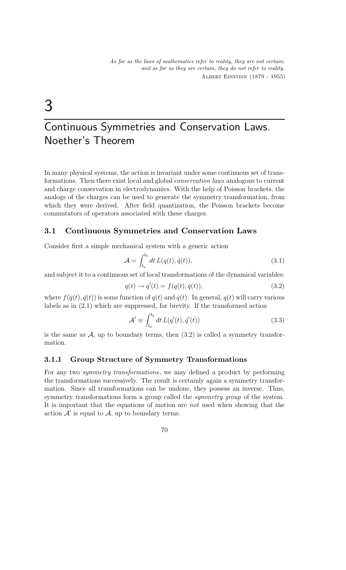# 3

# Continuous Symmetries and Conservation Laws. Noether's Theorem

In many physical systems, the action is invariant under some continuous set of transformations. Then there exist local and global conservation laws analogous to current and charge conservation in electrodynamics. With the help of Poisson brackets, the analogs of the charges can be used to generate the symmetry transformation, from which they were derived. After field quantization, the Poisson brackets become commutators of operators associated with these charges.

## 3.1 Continuous Symmetries and Conservation Laws

Consider first a simple mechanical system with a generic action

$$
\mathcal{A} = \int_{t_a}^{t_b} dt \, L(q(t), \dot{q}(t)),\tag{3.1}
$$

and subject it to a continuous set of local transformations of the dynamical variables:

$$
q(t) \rightarrow q'(t) = f(q(t), \dot{q}(t)), \qquad (3.2)
$$

where  $f(q(t), \dot{q}(t))$  is some function of  $q(t)$  and  $\dot{q}(t)$ . In general,  $q(t)$  will carry various labels as in (2.1) which are suppressed, for brevity. If the transformed action

$$
\mathcal{A}' \equiv \int_{t_a}^{t_b} dt \, L(q'(t), \dot{q}'(t)) \tag{3.3}
$$

is the same as  $A$ , up to boundary terms, then  $(3.2)$  is called a symmetry transformation.

#### 3.1.1 Group Structure of Symmetry Transformations

For any two symmetry transformations, we may defined a product by performing the transformations successively. The result is certainly again a symmetry transformation. Since all transformations can be undone, they possess an inverse. Thus, symmetry transformations form a group called the *symmetry group* of the system. It is important that the equations of motion are not used when showing that the action  $\mathcal{A}'$  is equal to  $\mathcal{A}$ , up to boundary terms.

$$
70\,
$$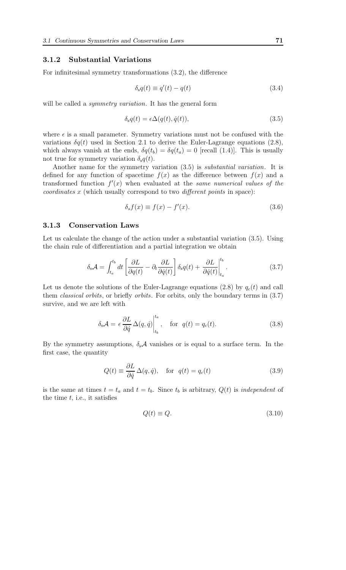#### 3.1.2 Substantial Variations

For infinitesimal symmetry transformations (3.2), the difference

$$
\delta_{\rm s}q(t) \equiv q'(t) - q(t) \tag{3.4}
$$

will be called a *symmetry variation*. It has the general form

$$
\delta_{\rm s}q(t) = \epsilon \Delta(q(t), \dot{q}(t)),\tag{3.5}
$$

where  $\epsilon$  is a small parameter. Symmetry variations must not be confused with the variations  $\delta q(t)$  used in Section 2.1 to derive the Euler-Lagrange equations (2.8), which always vanish at the ends,  $\delta q(t_b) = \delta q(t_a) = 0$  [recall (1.4)]. This is usually not true for symmetry variation  $\delta_{\rm s}q(t)$ .

Another name for the symmetry variation (3.5) is substantial variation. It is defined for any function of spacetime  $f(x)$  as the difference between  $f(x)$  and a transformed function  $f'(x)$  when evaluated at the same numerical values of the coordinates x (which usually correspond to two different points in space):

$$
\delta_s f(x) \equiv f(x) - f'(x). \tag{3.6}
$$

#### 3.1.3 Conservation Laws

Let us calculate the change of the action under a substantial variation (3.5). Using the chain rule of differentiation and a partial integration we obtain

$$
\delta_{\rm s} \mathcal{A} = \int_{t_a}^{t_b} dt \left[ \frac{\partial L}{\partial q(t)} - \partial_t \frac{\partial L}{\partial \dot{q}(t)} \right] \delta_{\rm s} q(t) + \left. \frac{\partial L}{\partial \dot{q}(t)} \right|_{t_a}^{t_b}.
$$
\n(3.7)

Let us denote the solutions of the Euler-Lagrange equations (2.8) by  $q_c(t)$  and call them classical orbits, or briefly orbits. For orbits, only the boundary terms in (3.7) survive, and we are left with

$$
\delta_{s} \mathcal{A} = \epsilon \frac{\partial L}{\partial \dot{q}} \Delta(q, \dot{q}) \Big|_{t_{b}}^{t_{a}}, \quad \text{for} \quad q(t) = q_{c}(t). \tag{3.8}
$$

By the symmetry assumptions,  $\delta_s A$  vanishes or is equal to a surface term. In the first case, the quantity

$$
Q(t) \equiv \frac{\partial L}{\partial \dot{q}} \Delta(q, \dot{q}), \quad \text{for} \quad q(t) = q_c(t) \tag{3.9}
$$

is the same at times  $t = t_a$  and  $t = t_b$ . Since  $t_b$  is arbitrary,  $Q(t)$  is independent of the time  $t$ , i.e., it satisfies

$$
Q(t) \equiv Q. \tag{3.10}
$$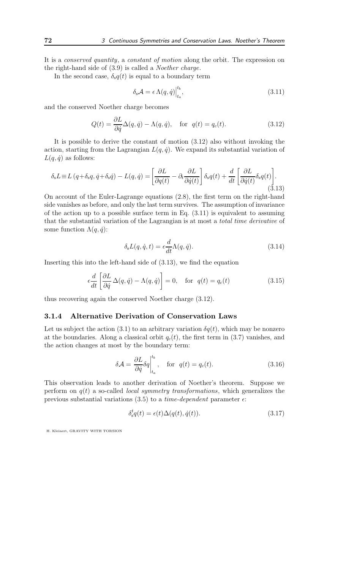It is a conserved quantity, a constant of motion along the orbit. The expression on the right-hand side of (3.9) is called a Noether charge.

In the second case,  $\delta_s q(t)$  is equal to a boundary term

$$
\delta_{\rm s} \mathcal{A} = \epsilon \Lambda(q, \dot{q}) \Big|_{t_a}^{t_b},\tag{3.11}
$$

and the conserved Noether charge becomes

$$
Q(t) = \frac{\partial L}{\partial \dot{q}} \Delta(q, \dot{q}) - \Lambda(q, \dot{q}), \quad \text{for} \quad q(t) = q_c(t). \tag{3.12}
$$

It is possible to derive the constant of motion (3.12) also without invoking the action, starting from the Lagrangian  $L(q, \dot{q})$ . We expand its substantial variation of  $L(q, \dot{q})$  as follows:

$$
\delta_{\rm s}L \equiv L\left(q + \delta_{\rm s}q, \dot{q} + \delta_{\rm s}\dot{q}\right) - L(q, \dot{q}) = \left[\frac{\partial L}{\partial q(t)} - \partial_t \frac{\partial L}{\partial \dot{q}(t)}\right] \delta_{\rm s}q(t) + \frac{d}{dt} \left[\frac{\partial L}{\partial \dot{q}(t)} \delta_{\rm s}q(t)\right].
$$
\n(3.13)

On account of the Euler-Lagrange equations (2.8), the first term on the right-hand side vanishes as before, and only the last term survives. The assumption of invariance of the action up to a possible surface term in Eq.  $(3.11)$  is equivalent to assuming that the substantial variation of the Lagrangian is at most a total time derivative of some function  $\Lambda(q, \dot{q})$ :

$$
\delta_{\rm s} L(q, \dot{q}, t) = \epsilon \frac{d}{dt} \Lambda(q, \dot{q}). \tag{3.14}
$$

Inserting this into the left-hand side of (3.13), we find the equation

$$
\epsilon \frac{d}{dt} \left[ \frac{\partial L}{\partial \dot{q}} \Delta(q, \dot{q}) - \Lambda(q, \dot{q}) \right] = 0, \quad \text{for} \quad q(t) = q_c(t) \tag{3.15}
$$

thus recovering again the conserved Noether charge (3.12).

#### 3.1.4 Alternative Derivation of Conservation Laws

Let us subject the action (3.1) to an arbitrary variation  $\delta q(t)$ , which may be nonzero at the boundaries. Along a classical orbit  $q_c(t)$ , the first term in (3.7) vanishes, and the action changes at most by the boundary term:

$$
\delta \mathcal{A} = \frac{\partial L}{\partial \dot{q}} \delta q \Big|_{t_a}^{t_b}, \quad \text{for} \quad q(t) = q_c(t). \tag{3.16}
$$

This observation leads to another derivation of Noether's theorem. Suppose we perform on  $q(t)$  a so-called *local symmetry transformations*, which generalizes the previous substantial variations (3.5) to a *time-dependent* parameter  $\epsilon$ :

$$
\delta_s^t q(t) = \epsilon(t) \Delta(q(t), \dot{q}(t)). \tag{3.17}
$$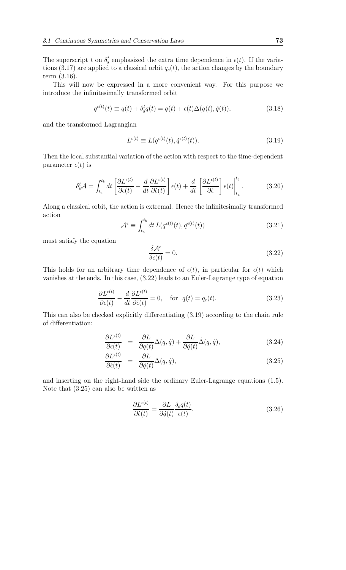The superscript t on  $\delta_s^t$  emphasized the extra time dependence in  $\epsilon(t)$ . If the variations (3.17) are applied to a classical orbit  $q_c(t)$ , the action changes by the boundary term (3.16).

This will now be expressed in a more convenient way. For this purpose we introduce the infinitesimally transformed orbit

$$
q^{\epsilon(t)}(t) \equiv q(t) + \delta_s^t q(t) = q(t) + \epsilon(t)\Delta(q(t), \dot{q}(t)),
$$
\n(3.18)

and the transformed Lagrangian

$$
L^{\epsilon(t)} \equiv L(q^{\epsilon(t)}(t), \dot{q}^{\epsilon(t)}(t)). \tag{3.19}
$$

Then the local substantial variation of the action with respect to the time-dependent parameter  $\epsilon(t)$  is

$$
\delta_{s}^{t} \mathcal{A} = \int_{t_{a}}^{t_{b}} dt \left[ \frac{\partial L^{\epsilon(t)}}{\partial \epsilon(t)} - \frac{d}{dt} \frac{\partial L^{\epsilon(t)}}{\partial \dot{\epsilon}(t)} \right] \epsilon(t) + \frac{d}{dt} \left[ \frac{\partial L^{\epsilon(t)}}{\partial \dot{\epsilon}} \right] \epsilon(t) \Big|_{t_{a}}^{t_{b}}.
$$
 (3.20)

Along a classical orbit, the action is extremal. Hence the infinitesimally transformed action

$$
\mathcal{A}^{\epsilon} \equiv \int_{t_a}^{t_b} dt \, L(q^{\epsilon(t)}(t), \dot{q}^{\epsilon(t)}(t)) \tag{3.21}
$$

must satisfy the equation

$$
\frac{\delta \mathcal{A}^{\epsilon}}{\delta \epsilon(t)} = 0. \tag{3.22}
$$

This holds for an arbitrary time dependence of  $\epsilon(t)$ , in particular for  $\epsilon(t)$  which vanishes at the ends. In this case, (3.22) leads to an Euler-Lagrange type of equation

$$
\frac{\partial L^{\epsilon(t)}}{\partial \epsilon(t)} - \frac{d}{dt} \frac{\partial L^{\epsilon(t)}}{\partial \dot{\epsilon}(t)} = 0, \quad \text{for} \quad q(t) = q_c(t). \tag{3.23}
$$

This can also be checked explicitly differentiating (3.19) according to the chain rule of differentiation:

$$
\frac{\partial L^{\epsilon(t)}}{\partial \epsilon(t)} = \frac{\partial L}{\partial q(t)} \Delta(q, \dot{q}) + \frac{\partial L}{\partial \dot{q}(t)} \dot{\Delta}(q, \dot{q}), \qquad (3.24)
$$

$$
\frac{\partial L^{\epsilon(t)}}{\partial \dot{\epsilon}(t)} = \frac{\partial L}{\partial \dot{q}(t)} \Delta(q, \dot{q}), \tag{3.25}
$$

and inserting on the right-hand side the ordinary Euler-Lagrange equations (1.5). Note that (3.25) can also be written as

$$
\frac{\partial L^{\epsilon(t)}}{\partial \dot{\epsilon}(t)} = \frac{\partial L}{\partial \dot{q}(t)} \frac{\delta_{\rm s} q(t)}{\epsilon(t)}.
$$
\n(3.26)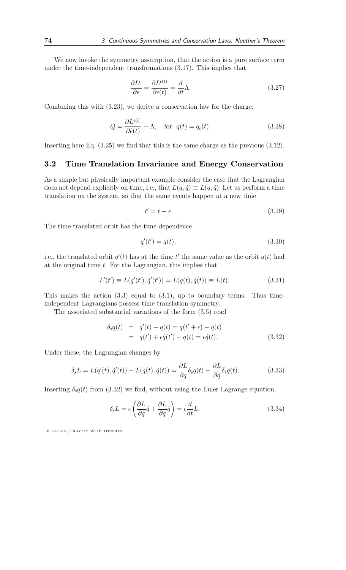We now invoke the symmetry assumption, that the action is a pure surface term under the time-independent transformations (3.17). This implies that

$$
\frac{\partial L^{\epsilon}}{\partial \epsilon} = \frac{\partial L^{\epsilon(t)}}{\partial \epsilon(t)} = \frac{d}{dt} \Lambda.
$$
\n(3.27)

Combining this with (3.23), we derive a conservation law for the charge:

$$
Q = \frac{\partial L^{\epsilon(t)}}{\partial \dot{\epsilon}(t)} - \Lambda, \quad \text{for} \quad q(t) = q_c(t). \tag{3.28}
$$

Inserting here Eq. (3.25) we find that this is the same charge as the previous (3.12).

## 3.2 Time Translation Invariance and Energy Conservation

As a simple but physically important example consider the case that the Lagrangian does not depend explicitly on time, i.e., that  $L(q, \dot{q}) \equiv L(q, \dot{q})$ . Let us perform a time translation on the system, so that the same events happen at a new time

$$
t' = t - \epsilon. \tag{3.29}
$$

The time-translated orbit has the time dependence

$$
q'(t') = q(t),\tag{3.30}
$$

i.e., the translated orbit  $q'(t)$  has at the time t' the same value as the orbit  $q(t)$  had at the original time  $t$ . For the Lagrangian, this implies that

$$
L'(t') \equiv L(q'(t'), \dot{q}'(t')) = L(q(t), \dot{q}(t)) \equiv L(t).
$$
\n(3.31)

This makes the action  $(3.3)$  equal to  $(3.1)$ , up to boundary terms. Thus timeindependent Lagrangians possess time translation symmetry.

The associated substantial variations of the form (3.5) read

$$
\delta_s q(t) = q'(t) - q(t) = q(t' + \epsilon) - q(t) \n= q(t') + \epsilon \dot{q}(t') - q(t) = \epsilon \dot{q}(t),
$$
\n(3.32)

Under these, the Lagrangian changes by

$$
\delta_{\mathbf{s}}L = L(q'(t), \dot{q}'(t)) - L(q(t), \dot{q}(t)) = \frac{\partial L}{\partial q} \delta_{\mathbf{s}}q(t) + \frac{\partial L}{\partial \dot{q}} \delta_{\mathbf{s}}\dot{q}(t).
$$
\n(3.33)

Inserting  $\delta_s q(t)$  from (3.32) we find, without using the Euler-Lagrange equation,

$$
\delta_{\rm s}L = \epsilon \left( \frac{\partial L}{\partial \dot{q}} \dot{q} + \frac{\partial L}{\partial \dot{q}} \ddot{q} \right) = \epsilon \frac{d}{dt}L. \tag{3.34}
$$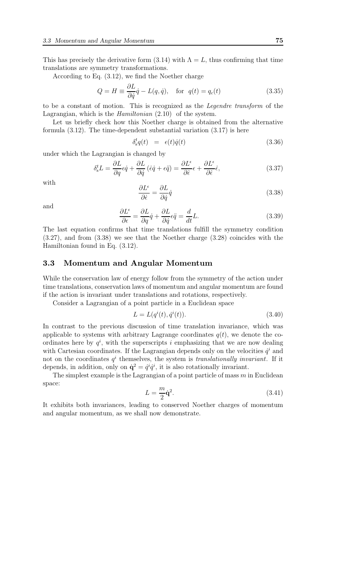This has precisely the derivative form (3.14) with  $\Lambda = L$ , thus confirming that time translations are symmetry transformations.

According to Eq. (3.12), we find the Noether charge

$$
Q = H \equiv \frac{\partial L}{\partial \dot{q}} \dot{q} - L(q, \dot{q}), \quad \text{for} \quad q(t) = q_c(t) \tag{3.35}
$$

to be a constant of motion. This is recognized as the Legendre transform of the Lagrangian, which is the Hamiltonian (2.10) of the system.

Let us briefly check how this Noether charge is obtained from the alternative formula (3.12). The time-dependent substantial variation (3.17) is here

$$
\delta_s^t q(t) = \epsilon(t)\dot{q}(t) \tag{3.36}
$$

under which the Lagrangian is changed by

$$
\delta_{\rm s}^t L = \frac{\partial L}{\partial q} \epsilon \dot{q} + \frac{\partial L}{\partial \dot{q}} (\dot{\epsilon} \dot{q} + \epsilon \ddot{q}) = \frac{\partial L^{\epsilon}}{\partial \dot{\epsilon}} \epsilon + \frac{\partial L^{\epsilon}}{\partial \dot{\epsilon}} \dot{\epsilon},\tag{3.37}
$$

with

$$
\frac{\partial L^{\epsilon}}{\partial \dot{\epsilon}} = \frac{\partial L}{\partial \dot{q}} \dot{q}
$$
\n(3.38)

and

$$
\frac{\partial L^{\epsilon}}{\partial \epsilon} = \frac{\partial L}{\partial q}\dot{q} + \frac{\partial L}{\partial \dot{q}}\epsilon \ddot{q} = \frac{d}{dt}L.
$$
 (3.39)

The last equation confirms that time translations fulfill the symmetry condition (3.27), and from (3.38) we see that the Noether charge (3.28) coincides with the Hamiltonian found in Eq. (3.12).

#### 3.3 Momentum and Angular Momentum

While the conservation law of energy follow from the symmetry of the action under time translations, conservation laws of momentum and angular momentum are found if the action is invariant under translations and rotations, respectively.

Consider a Lagrangian of a point particle in a Euclidean space

$$
L = L(q^{i}(t), \dot{q}^{i}(t)).
$$
\n(3.40)

In contrast to the previous discussion of time translation invariance, which was applicable to systems with arbitrary Lagrange coordinates  $q(t)$ , we denote the coordinates here by  $q^i$ , with the superscripts i emphasizing that we are now dealing with Cartesian coordinates. If the Lagrangian depends only on the velocities  $\dot{q}^i$  and not on the coordinates  $q<sup>i</sup>$  themselves, the system is *translationally invariant*. If it depends, in addition, only on  $\dot{q}^2 = \dot{q}^i \dot{q}^i$ , it is also rotationally invariant.

The simplest example is the Lagrangian of a point particle of mass  $m$  in Euclidean space:

$$
L = \frac{m}{2}\dot{\mathbf{q}}^2. \tag{3.41}
$$

It exhibits both invariances, leading to conserved Noether charges of momentum and angular momentum, as we shall now demonstrate.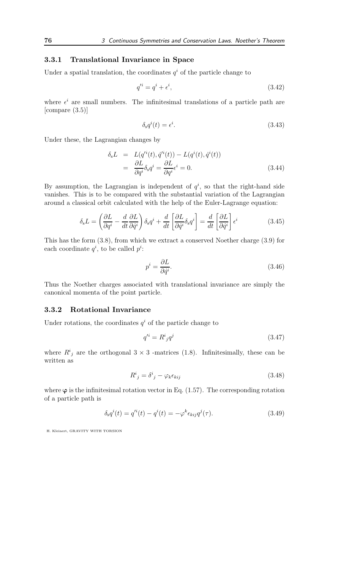## 3.3.1 Translational Invariance in Space

Under a spatial translation, the coordinates  $q<sup>i</sup>$  of the particle change to

$$
q'^i = q^i + \epsilon^i,\tag{3.42}
$$

where  $\epsilon^i$  are small numbers. The infinitesimal translations of a particle path are [compare (3.5)]

$$
\delta_{\rm s}q^i(t) = \epsilon^i. \tag{3.43}
$$

Under these, the Lagrangian changes by

$$
\delta_{\rm s}L = L(q'^{i}(t), \dot{q}'^{i}(t)) - L(q^{i}(t), \dot{q}^{i}(t))
$$
  
= 
$$
\frac{\partial L}{\partial q^{i}} \delta_{\rm s} q^{i} = \frac{\partial L}{\partial q^{i}} \epsilon^{i} = 0.
$$
 (3.44)

By assumption, the Lagrangian is independent of  $q^i$ , so that the right-hand side vanishes. This is to be compared with the substantial variation of the Lagrangian around a classical orbit calculated with the help of the Euler-Lagrange equation:

$$
\delta_{\rm s}L = \left(\frac{\partial L}{\partial q^i} - \frac{d}{dt}\frac{\partial L}{\partial \dot{q}^i}\right)\delta_{\rm s}q^i + \frac{d}{dt}\left[\frac{\partial L}{\partial \dot{q}^i}\delta_{\rm s}q^i\right] = \frac{d}{dt}\left[\frac{\partial L}{\partial \dot{q}^i}\right]\epsilon^i\tag{3.45}
$$

This has the form (3.8), from which we extract a conserved Noether charge (3.9) for each coordinate  $q^i$ , to be called  $p^i$ :

$$
p^i = \frac{\partial L}{\partial \dot{q}^i}.\tag{3.46}
$$

Thus the Noether charges associated with translational invariance are simply the canonical momenta of the point particle.

## 3.3.2 Rotational Invariance

Under rotations, the coordinates  $q<sup>i</sup>$  of the particle change to

$$
q'^i = R^i{}_j q^j \tag{3.47}
$$

where  $R^i_j$  are the orthogonal  $3 \times 3$  -matrices (1.8). Infinitesimally, these can be written as

$$
R^i{}_j = \delta^i{}_j - \varphi_k \epsilon_{kij} \tag{3.48}
$$

where  $\varphi$  is the infinitesimal rotation vector in Eq. (1.57). The corresponding rotation of a particle path is

$$
\delta_{\rm s}q^{i}(t) = q^{\prime i}(t) - q^{i}(t) = -\varphi^{k}\epsilon_{kij}q^{j}(\tau). \tag{3.49}
$$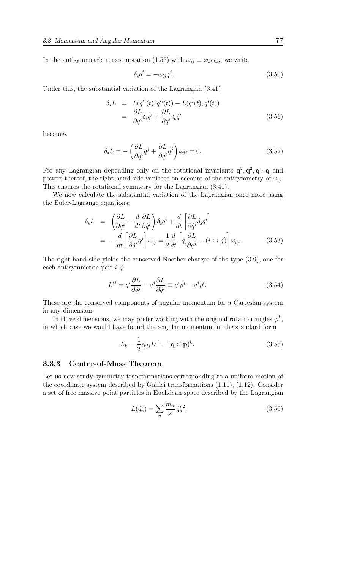In the antisymmetric tensor notation (1.55) with  $\omega_{ij} \equiv \varphi_k \epsilon_{kij}$ , we write

$$
\delta_{\rm s} q^i = -\omega_{ij} q^j. \tag{3.50}
$$

Under this, the substantial variation of the Lagrangian (3.41)

$$
\delta_{\rm s}L = L(q'^{i}(t), \dot{q}'^{i}(t)) - L(q^{i}(t), \dot{q}^{i}(t))
$$
  
= 
$$
\frac{\partial L}{\partial q^{i}} \delta_{\rm s} q^{i} + \frac{\partial L}{\partial \dot{q}^{i}} \delta_{\rm s} \dot{q}^{i}
$$
(3.51)

becomes

$$
\delta_{\rm s}L = -\left(\frac{\partial L}{\partial q^i}q^j + \frac{\partial L}{\partial \dot{q}^i}\dot{q}^j\right)\omega_{ij} = 0.
$$
\n(3.52)

For any Lagrangian depending only on the rotational invariants  $q^2, \dot{q}^2, q \cdot \dot{q}$  and powers thereof, the right-hand side vanishes on account of the antisymmetry of  $\omega_{ij}$ . This ensures the rotational symmetry for the Lagrangian (3.41).

We now calculate the substantial variation of the Lagrangian once more using the Euler-Lagrange equations:

$$
\delta_{s}L = \left(\frac{\partial L}{\partial q^{i}} - \frac{d}{dt}\frac{\partial L}{\partial \dot{q}^{i}}\right)\delta_{s}q^{i} + \frac{d}{dt}\left[\frac{\partial L}{\partial \dot{q}^{i}}\delta_{s}q^{i}\right]
$$
  
= 
$$
-\frac{d}{dt}\left[\frac{\partial L}{\partial \dot{q}^{i}}q^{j}\right]\omega_{ij} = \frac{1}{2}\frac{d}{dt}\left[q_{i}\frac{\partial L}{\partial \dot{q}^{j}} - (i \leftrightarrow j)\right]\omega_{ij}.
$$
 (3.53)

The right-hand side yields the conserved Noether charges of the type (3.9), one for each antisymmetric pair  $i, j$ :

$$
L^{ij} = q^i \frac{\partial L}{\partial \dot{q}^j} - q^j \frac{\partial L}{\partial \dot{q}^i} \equiv q^i p^j - q^j p^i.
$$
 (3.54)

These are the conserved components of angular momentum for a Cartesian system in any dimension.

In three dimensions, we may prefer working with the original rotation angles  $\varphi^k$ , in which case we would have found the angular momentum in the standard form

$$
L_k = \frac{1}{2} \epsilon_{kij} L^{ij} = (\mathbf{q} \times \mathbf{p})^k.
$$
 (3.55)

#### 3.3.3 Center-of-Mass Theorem

Let us now study symmetry transformations corresponding to a uniform motion of the coordinate system described by Galilei transformations (1.11), (1.12). Consider a set of free massive point particles in Euclidean space described by the Lagrangian

$$
L(\dot{q}_n^i) = \sum_n \frac{m_n}{2} \dot{q}_n^{i\,2}.\tag{3.56}
$$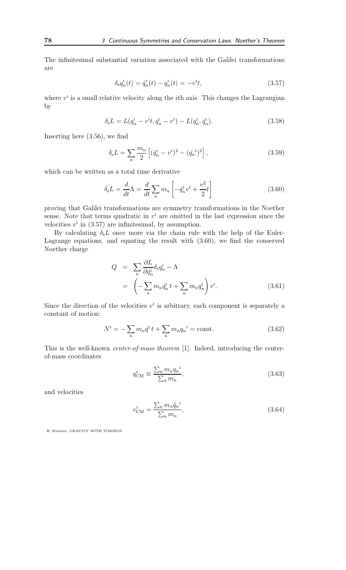The infinitesimal substantial variation associated with the Galilei transformations are

$$
\delta_{\rm s} q_n^i(t) = \dot{q}_n^i(t) - q_n^i(t) = -v^i t,\tag{3.57}
$$

where  $v^i$  is a small relative velocity along the *i*th axis. This changes the Lagrangian by

$$
\delta_{\rm s}L = L(q_n^i - v^it, \dot{q}_n^i - v^i) - L(q_n^i, \dot{q}_n^i). \tag{3.58}
$$

Inserting here (3.56), we find

$$
\delta_{\rm s}L = \sum_{n} \frac{m_n}{2} \left[ (\dot{q}_n^i - v^i)^2 - (\dot{q}_n^i)^2 \right],\tag{3.59}
$$

which can be written as a total time derivative

$$
\delta_{\rm s}L = \frac{d}{dt}\Lambda = \frac{d}{dt}\sum_{n}m_{n}\left[-\dot{q}_{n}^{i}v^{i} + \frac{v^{2}}{2}t\right]
$$
\n(3.60)

proving that Galilei transformations are symmetry transformations in the Noether sense. Note that terms quadratic in  $v^i$  are omitted in the last expression since the velocities  $v^i$  in (3.57) are infinitesimal, by assumption.

By calculating  $\delta_{s}L$  once more via the chain rule with the help of the Euler-Lagrange equations, and equating the result with (3.60), we find the conserved Noether charge

$$
Q = \sum_{n} \frac{\partial L}{\partial \dot{q}_n^i} \delta_s q_n^i - \Lambda
$$
  
=  $\left( -\sum_{n} m_n \dot{q}_n^i t + \sum_{n} m_n q_n^i \right) v^i.$  (3.61)

Since the direction of the velocities  $v^i$  is arbitrary, each component is separately a constant of motion:

$$
N^{i} = -\sum_{n} m_{n} \dot{q}^{i} t + \sum_{n} m_{n} q_{n}^{i} = \text{const.}
$$
 (3.62)

This is the well-known center-of-mass theorem [1]. Indeed, introducing the centerof-mass coordinates

$$
q_{\rm CM}^i \equiv \frac{\sum_n m_n q_n^i}{\sum_n m_n},\tag{3.63}
$$

and velocities

$$
v_{\text{CM}}^i = \frac{\sum_n m_n \dot{q}_n^i}{\sum_n m_n},\tag{3.64}
$$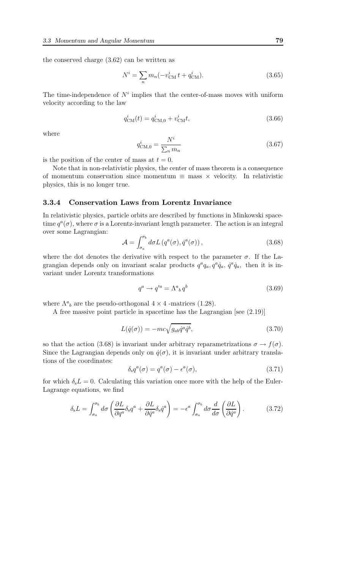the conserved charge (3.62) can be written as

$$
N^{i} = \sum_{n} m_{n} (-v_{\text{CM}}^{i} t + q_{\text{CM}}^{i}).
$$
\n(3.65)

The time-independence of  $N^i$  implies that the center-of-mass moves with uniform velocity according to the law

$$
q_{\text{CM}}^i(t) = q_{\text{CM},0}^i + v_{\text{CM}}^i t,\tag{3.66}
$$

where

$$
q_{\text{CM},0}^{i} = \frac{N^{i}}{\sum_{n} m_{n}}
$$
 (3.67)

is the position of the center of mass at  $t = 0$ .

Note that in non-relativistic physics, the center of mass theorem is a consequence of momentum conservation since momentum  $\equiv$  mass  $\times$  velocity. In relativistic physics, this is no longer true.

#### 3.3.4 Conservation Laws from Lorentz Invariance

In relativistic physics, particle orbits are described by functions in Minkowski spacetime  $q^a(\sigma)$ , where  $\sigma$  is a Lorentz-invariant length parameter. The action is an integral over some Lagrangian:

$$
\mathcal{A} = \int_{\sigma_a}^{\sigma_b} d\sigma L \left( q^a(\sigma), \dot{q}^a(\sigma) \right), \tag{3.68}
$$

where the dot denotes the derivative with respect to the parameter  $\sigma$ . If the Lagrangian depends only on invariant scalar products  $q^a q_a$ ,  $q^a \dot{q}_a$ ,  $\dot{q}^a \dot{q}_a$ , then it is invariant under Lorentz transformations

$$
q^a \to q'^a = \Lambda^a{}_b \, q^b \tag{3.69}
$$

where  $\Lambda^a{}_b$  are the pseudo-orthogonal  $4 \times 4$  -matrices (1.28).

A free massive point particle in spacetime has the Lagrangian [see (2.19)]

$$
L(\dot{q}(\sigma)) = -mc\sqrt{g_{ab}\dot{q}^a\dot{q}^b},\tag{3.70}
$$

so that the action (3.68) is invariant under arbitrary reparametrizations  $\sigma \to f(\sigma)$ . Since the Lagrangian depends only on  $\dot{q}(\sigma)$ , it is invariant under arbitrary translations of the coordinates:

$$
\delta_{\rm s}q^a(\sigma) = q^a(\sigma) - \epsilon^a(\sigma),\tag{3.71}
$$

for which  $\delta_{s}L = 0$ . Calculating this variation once more with the help of the Euler-Lagrange equations, we find

$$
\delta_{\rm s}L = \int_{\sigma_a}^{\sigma_b} d\sigma \left( \frac{\partial L}{\partial q^a} \delta_{\rm s} q^a + \frac{\partial L}{\partial \dot{q}^a} \delta_{\rm s} \dot{q}^a \right) = -\epsilon^a \int_{\sigma_a}^{\sigma_b} d\sigma \frac{d}{d\sigma} \left( \frac{\partial L}{\partial \dot{q}^a} \right). \tag{3.72}
$$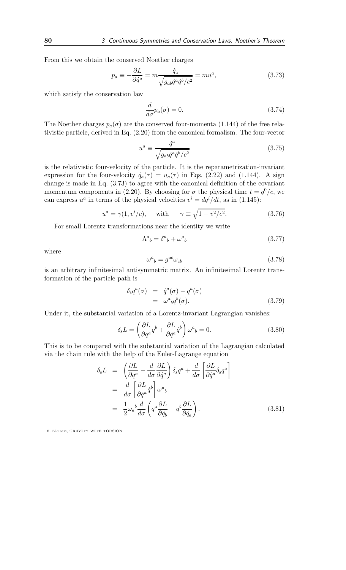From this we obtain the conserved Noether charges

$$
p_a \equiv -\frac{\partial L}{\partial \dot{q}^a} = m \frac{\dot{q}_a}{\sqrt{g_{ab}\dot{q}^a \dot{q}^b/c^2}} = m u^a,\tag{3.73}
$$

which satisfy the conservation law

$$
\frac{d}{d\sigma}p_a(\sigma) = 0.\tag{3.74}
$$

The Noether charges  $p_a(\sigma)$  are the conserved four-momenta (1.144) of the free relativistic particle, derived in Eq. (2.20) from the canonical formalism. The four-vector

$$
u^{a} \equiv \frac{\dot{q}^{a}}{\sqrt{g_{ab}\dot{q}^{a}\dot{q}^{b}/c^{2}}}
$$
\n(3.75)

is the relativistic four-velocity of the particle. It is the reparametrization-invariant expression for the four-velocity  $\dot{q}_a(\tau) = u_a(\tau)$  in Eqs. (2.22) and (1.144). A sign change is made in Eq. (3.73) to agree with the canonical definition of the covariant momentum components in (2.20). By choosing for  $\sigma$  the physical time  $t = q^0/c$ , we can express  $u^a$  in terms of the physical velocities  $v^i = dq^i/dt$ , as in (1.145):

$$
u^{a} = \gamma(1, v^{i}/c), \quad \text{with} \quad \gamma \equiv \sqrt{1 - v^{2}/c^{2}}.
$$
 (3.76)

For small Lorentz transformations near the identity we write

$$
\Lambda^a{}_b = \delta^a{}_b + \omega^a{}_b \tag{3.77}
$$

where

$$
\omega^a{}_b = g^{ac}\omega_{cb} \tag{3.78}
$$

is an arbitrary infinitesimal antisymmetric matrix. An infinitesimal Lorentz transformation of the particle path is

$$
\delta_s q^a(\sigma) = \dot{q}^a(\sigma) - q^a(\sigma)
$$
  
=  $\omega^a_{\ b} q^b(\sigma)$ . (3.79)

Under it, the substantial variation of a Lorentz-invariant Lagrangian vanishes:

$$
\delta_{\rm s}L = \left(\frac{\partial L}{\partial q^a}q^b + \frac{\partial L}{\partial \dot{q}^a}\dot{q}^b\right)\omega^a{}_b = 0.
$$
\n(3.80)

This is to be compared with the substantial variation of the Lagrangian calculated via the chain rule with the help of the Euler-Lagrange equation

$$
\delta_{s}L = \left(\frac{\partial L}{\partial q^{a}} - \frac{d}{d\sigma} \frac{\partial L}{\partial \dot{q}^{a}}\right) \delta_{s}q^{a} + \frac{d}{d\sigma} \left[\frac{\partial L}{\partial \dot{q}^{a}} \delta_{s}q^{a}\right]
$$

$$
= \frac{d}{d\sigma} \left[\frac{\partial L}{\partial \dot{q}^{a}} \dot{q}^{b}\right] \omega^{a}{}_{b}
$$

$$
= \frac{1}{2} \omega_{a}{}^{b} \frac{d}{d\sigma} \left(q^{a} \frac{\partial L}{\partial \dot{q}_{b}} - q^{b} \frac{\partial L}{\partial \dot{q}_{a}}\right).
$$
(3.81)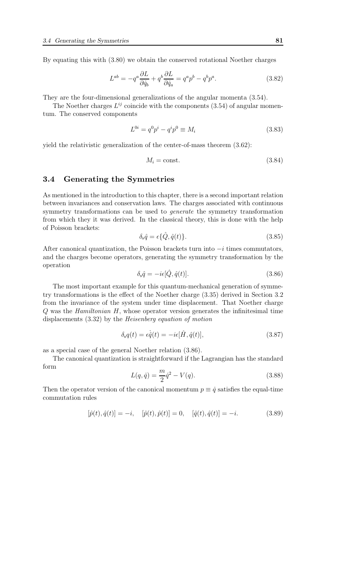By equating this with (3.80) we obtain the conserved rotational Noether charges

$$
L^{ab} = -q^a \frac{\partial L}{\partial \dot{q}_b} + q^b \frac{\partial L}{\partial \dot{q}_a} = q^a p^b - q^b p^a.
$$
 (3.82)

They are the four-dimensional generalizations of the angular momenta (3.54).

The Noether charges  $L^{ij}$  coincide with the components (3.54) of angular momentum. The conserved components

$$
L^{0i} = q^0 p^i - q^i p^0 \equiv M_i \tag{3.83}
$$

yield the relativistic generalization of the center-of-mass theorem (3.62):

$$
M_i = \text{const.} \tag{3.84}
$$

## 3.4 Generating the Symmetries

As mentioned in the introduction to this chapter, there is a second important relation between invariances and conservation laws. The charges associated with continuous symmetry transformations can be used to generate the symmetry transformation from which they it was derived. In the classical theory, this is done with the help of Poisson brackets:

$$
\delta_s \hat{q} = \epsilon \{\hat{Q}, \hat{q}(t)\}.
$$
\n(3.85)

After canonical quantization, the Poisson brackets turn into  $-i$  times commutators, and the charges become operators, generating the symmetry transformation by the operation

$$
\delta_{\rm s}\hat{q} = -i\epsilon[\hat{Q}, \hat{q}(t)].\tag{3.86}
$$

The most important example for this quantum-mechanical generation of symmetry transformations is the effect of the Noether charge (3.35) derived in Section 3.2 from the invariance of the system under time displacement. That Noether charge Q was the Hamiltonian H, whose operator version generates the infinitesimal time displacements (3.32) by the Heisenberg equation of motion

$$
\delta_{\rm s}q(t) = \dot{\epsilon q}(t) = -i\epsilon[\hat{H}, \hat{q}(t)],\tag{3.87}
$$

as a special case of the general Noether relation (3.86).

The canonical quantization is straightforward if the Lagrangian has the standard form

$$
L(q, \dot{q}) = \frac{m}{2}\dot{q}^2 - V(q). \tag{3.88}
$$

Then the operator version of the canonical momentum  $p \equiv \dot{q}$  satisfies the equal-time commutation rules

$$
[\hat{p}(t), \hat{q}(t)] = -i, \quad [\hat{p}(t), \hat{p}(t)] = 0, \quad [\hat{q}(t), \hat{q}(t)] = -i.
$$
 (3.89)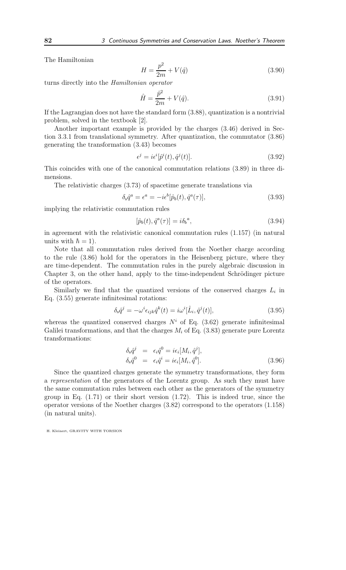The Hamiltonian

$$
H = \frac{p^2}{2m} + V(\hat{q})
$$
\n(3.90)

turns directly into the Hamiltonian operator

$$
\hat{H} = \frac{\hat{p}^2}{2m} + V(\hat{q}).
$$
\n(3.91)

If the Lagrangian does not have the standard form (3.88), quantization is a nontrivial problem, solved in the textbook [2].

Another important example is provided by the charges (3.46) derived in Section 3.3.1 from translational symmetry. After quantization, the commutator (3.86) generating the transformation (3.43) becomes

$$
\epsilon^j = i\epsilon^i[\hat{p}^i(t), \hat{q}^j(t)].\tag{3.92}
$$

This coincides with one of the canonical commutation relations (3.89) in three dimensions.

The relativistic charges (3.73) of spacetime generate translations via

$$
\delta_s \hat{q}^a = \epsilon^a = -i\epsilon^b [\hat{p}_b(t), \hat{q}^a(\tau)],\tag{3.93}
$$

implying the relativistic commutation rules

$$
[\hat{p}_b(t), \hat{q}^a(\tau)] = i\delta_b{}^a,\tag{3.94}
$$

in agreement with the relativistic canonical commutation rules (1.157) (in natural units with  $\hbar = 1$ .

Note that all commutation rules derived from the Noether charge according to the rule (3.86) hold for the operators in the Heisenberg picture, where they are time-dependent. The commutation rules in the purely algebraic discussion in Chapter 3, on the other hand, apply to the time-independent Schrödinger picture of the operators.

Similarly we find that the quantized versions of the conserved charges  $L_i$  in Eq. (3.55) generate infinitesimal rotations:

$$
\delta_{\rm s}\hat{q}^j = -\omega^i \epsilon_{ijk}\hat{q}^k(t) = i\omega^i[\hat{L}_i, \hat{q}^j(t)],\tag{3.95}
$$

whereas the quantized conserved charges  $N^i$  of Eq. (3.62) generate infinitesimal Galilei transformations, and that the charges  $M_i$  of Eq. (3.83) generate pure Lorentz transformations:

$$
\delta_{\rm s}\hat{q}^j = \epsilon_i \hat{q}^0 = i\epsilon_i [M_i, \hat{q}^j],
$$
  
\n
$$
\delta_{\rm s}\hat{q}^0 = \epsilon_i \hat{q}^i = i\epsilon_i [M_i, \hat{q}^0].
$$
\n(3.96)

Since the quantized charges generate the symmetry transformations, they form a representation of the generators of the Lorentz group. As such they must have the same commutation rules between each other as the generators of the symmetry group in Eq. (1.71) or their short version (1.72). This is indeed true, since the operator versions of the Noether charges (3.82) correspond to the operators (1.158) (in natural units).

H. Kleinert, GRAVITY WITH TORSION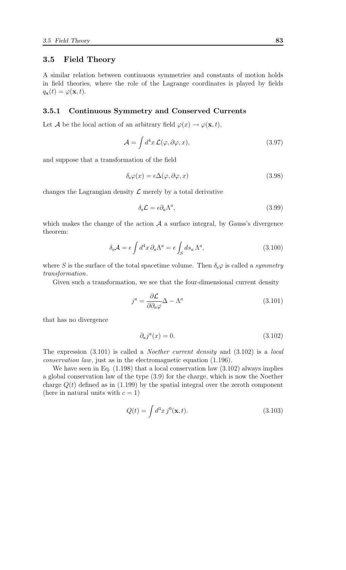## 3.5 Field Theory

A similar relation between continuous symmetries and constants of motion holds in field theories, where the role of the Lagrange coordinates is played by fields  $q_{\mathbf{x}}(t) = \varphi(\mathbf{x}, t).$ 

#### 3.5.1 Continuous Symmetry and Conserved Currents

Let A be the local action of an arbitrary field  $\varphi(x) \to \varphi(\mathbf{x}, t)$ ,

$$
\mathcal{A} = \int d^4x \, \mathcal{L}(\varphi, \partial \varphi, x), \tag{3.97}
$$

and suppose that a transformation of the field

$$
\delta_{\rm s}\varphi(x) = \epsilon \Delta(\varphi, \partial\varphi, x) \tag{3.98}
$$

changes the Lagrangian density  $\mathcal L$  merely by a total derivative

$$
\delta_{\rm s}\mathcal{L} = \epsilon \partial_a \Lambda^a,\tag{3.99}
$$

which makes the change of the action  $A$  a surface integral, by Gauss's divergence theorem:

$$
\delta_{s} \mathcal{A} = \epsilon \int d^{4}x \, \partial_{a} \Lambda^{a} = \epsilon \int_{S} ds_{a} \, \Lambda^{a}, \qquad (3.100)
$$

where S is the surface of the total spacetime volume. Then  $\delta_s \varphi$  is called a *symmetry* transformation.

Given such a transformation, we see that the four-dimensional current density

$$
j^a = \frac{\partial \mathcal{L}}{\partial \partial_a \varphi} \Delta - \Lambda^a \tag{3.101}
$$

that has no divergence

$$
\partial_a j^a(x) = 0. \tag{3.102}
$$

The expression (3.101) is called a Noether current density and (3.102) is a local conservation law, just as in the electromagnetic equation (1.196).

We have seen in Eq.  $(1.198)$  that a local conservation law  $(3.102)$  always implies a global conservation law of the type (3.9) for the charge, which is now the Noether charge  $Q(t)$  defined as in (1.199) by the spatial integral over the zeroth component (here in natural units with  $c = 1$ )

$$
Q(t) = \int d^3x \, j^0(\mathbf{x}, t). \tag{3.103}
$$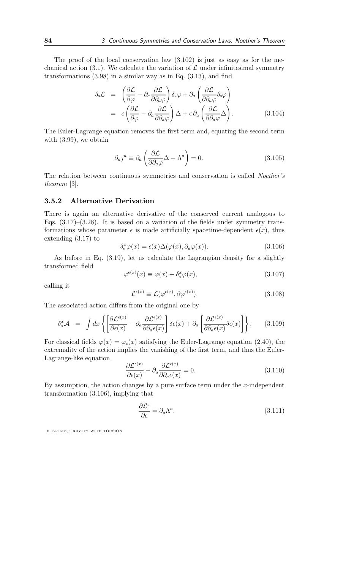The proof of the local conservation law (3.102) is just as easy as for the mechanical action (3.1). We calculate the variation of  $\mathcal L$  under infinitesimal symmetry transformations  $(3.98)$  in a similar way as in Eq.  $(3.13)$ , and find

$$
\delta_{\rm s}\mathcal{L} = \left(\frac{\partial \mathcal{L}}{\partial \varphi} - \partial_a \frac{\partial \mathcal{L}}{\partial \partial_a \varphi}\right) \delta_{\rm s}\varphi + \partial_a \left(\frac{\partial \mathcal{L}}{\partial \partial_a \varphi} \delta_{\rm s}\varphi\right) \n= \epsilon \left(\frac{\partial \mathcal{L}}{\partial \varphi} - \partial_a \frac{\partial \mathcal{L}}{\partial \partial_a \varphi}\right) \Delta + \epsilon \partial_a \left(\frac{\partial \mathcal{L}}{\partial \partial_a \varphi} \Delta\right).
$$
\n(3.104)

The Euler-Lagrange equation removes the first term and, equating the second term with (3.99), we obtain

$$
\partial_a j^a \equiv \partial_a \left( \frac{\partial \mathcal{L}}{\partial \partial_a \varphi} \Delta - \Lambda^a \right) = 0. \tag{3.105}
$$

The relation between continuous symmetries and conservation is called Noether's theorem [3].

#### 3.5.2 Alternative Derivation

There is again an alternative derivative of the conserved current analogous to Eqs.  $(3.17)$ – $(3.28)$ . It is based on a variation of the fields under symmetry transformations whose parameter  $\epsilon$  is made artificially spacetime-dependent  $\epsilon(x)$ , thus extending (3.17) to

$$
\delta_s^x \varphi(x) = \epsilon(x) \Delta(\varphi(x), \partial_a \varphi(x)). \tag{3.106}
$$

As before in Eq. (3.19), let us calculate the Lagrangian density for a slightly transformed field

$$
\varphi^{\epsilon(x)}(x) \equiv \varphi(x) + \delta_s^x \varphi(x), \tag{3.107}
$$

calling it

$$
\mathcal{L}^{\epsilon(x)} \equiv \mathcal{L}(\varphi^{\epsilon(x)}, \partial \varphi^{\epsilon(x)}).
$$
\n(3.108)

The associated action differs from the original one by

$$
\delta_{\rm s}^x \mathcal{A} \ = \ \int dx \left\{ \left[ \frac{\partial \mathcal{L}^{\epsilon(x)}}{\partial \epsilon(x)} - \partial_a \frac{\partial \mathcal{L}^{\epsilon(x)}}{\partial \partial_a \epsilon(x)} \right] \delta \epsilon(x) + \partial_a \left[ \frac{\partial \mathcal{L}^{\epsilon(x)}}{\partial \partial_a \epsilon(x)} \delta \epsilon(x) \right] \right\}.
$$
 (3.109)

For classical fields  $\varphi(x) = \varphi_c(x)$  satisfying the Euler-Lagrange equation (2.40), the extremality of the action implies the vanishing of the first term, and thus the Euler-Lagrange-like equation

$$
\frac{\partial \mathcal{L}^{\epsilon(x)}}{\partial \epsilon(x)} - \partial_a \frac{\partial \mathcal{L}^{\epsilon(x)}}{\partial \partial_a \epsilon(x)} = 0.
$$
\n(3.110)

By assumption, the action changes by a pure surface term under the  $x$ -independent transformation (3.106), implying that

$$
\frac{\partial \mathcal{L}^{\epsilon}}{\partial \epsilon} = \partial_a \Lambda^a. \tag{3.111}
$$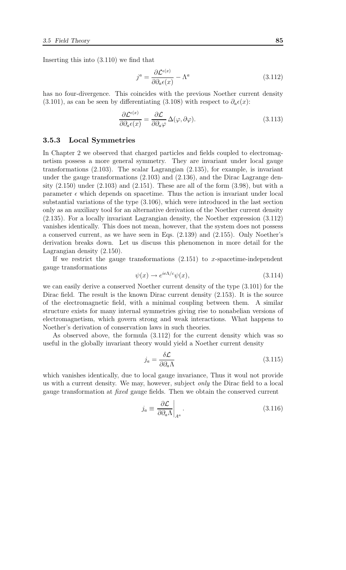Inserting this into (3.110) we find that

$$
j^{a} = \frac{\partial \mathcal{L}^{\epsilon(x)}}{\partial \partial_{a} \epsilon(x)} - \Lambda^{a}
$$
 (3.112)

has no four-divergence. This coincides with the previous Noether current density (3.101), as can be seen by differentiating (3.108) with respect to  $\partial_a \epsilon(x)$ :

$$
\frac{\partial \mathcal{L}^{\epsilon(x)}}{\partial \partial_a \epsilon(x)} = \frac{\partial \mathcal{L}}{\partial \partial_a \varphi} \Delta(\varphi, \partial \varphi).
$$
 (3.113)

#### 3.5.3 Local Symmetries

In Chapter 2 we observed that charged particles and fields coupled to electromagnetism possess a more general symmetry. They are invariant under local gauge transformations (2.103). The scalar Lagrangian (2.135), for example, is invariant under the gauge transformations (2.103) and (2.136), and the Dirac Lagrange density  $(2.150)$  under  $(2.103)$  and  $(2.151)$ . These are all of the form  $(3.98)$ , but with a parameter  $\epsilon$  which depends on spacetime. Thus the action is invariant under local substantial variations of the type (3.106), which were introduced in the last section only as an auxiliary tool for an alternative derivation of the Noether current density (2.135). For a locally invariant Lagrangian density, the Noether expression (3.112) vanishes identically. This does not mean, however, that the system does not possess a conserved current, as we have seen in Eqs. (2.139) and (2.155). Only Noether's derivation breaks down. Let us discuss this phenomenon in more detail for the Lagrangian density (2.150).

If we restrict the gauge transformations  $(2.151)$  to x-spacetime-independent gauge transformations

$$
\psi(x) \to e^{ie\Lambda/c}\psi(x),\tag{3.114}
$$

we can easily derive a conserved Noether current density of the type (3.101) for the Dirac field. The result is the known Dirac current density (2.153). It is the source of the electromagnetic field, with a minimal coupling between them. A similar structure exists for many internal symmetries giving rise to nonabelian versions of electromagnetism, which govern strong and weak interactions. What happens to Noether's derivation of conservation laws in such theories.

As observed above, the formula (3.112) for the current density which was so useful in the globally invariant theory would yield a Noether current density

$$
j_a = \frac{\delta \mathcal{L}}{\partial \partial_a \Lambda} \tag{3.115}
$$

which vanishes identically, due to local gauge invariance, Thus it woul not provide us with a current density. We may, however, subject only the Dirac field to a local gauge transformation at fixed gauge fields. Then we obtain the conserved current

$$
j_a \equiv \left. \frac{\partial \mathcal{L}}{\partial \partial_a \Lambda} \right|_{A^a} . \tag{3.116}
$$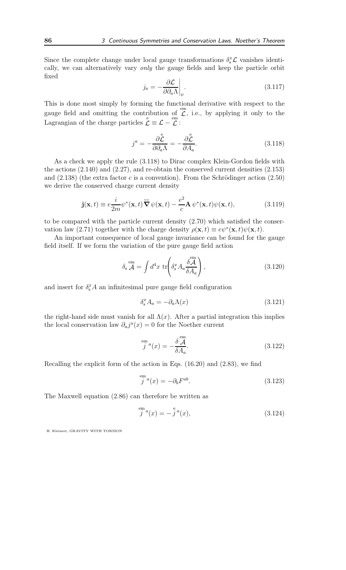Since the complete change under local gauge transformations  $\delta_{\rm s}^x \mathcal{L}$  vanishes identically, we can alternatively vary only the gauge fields and keep the particle orbit fixed

$$
j_a = -\frac{\partial \mathcal{L}}{\partial \partial_a \Lambda} \bigg|_{\psi}.
$$
 (3.117)

This is done most simply by forming the functional derivative with respect to the gauge field and omitting the contribution of  $\overline{\mathcal{L}}$ , i.e., by applying it only to the Lagrangian of the charge particles  $\mathcal{L} \equiv \mathcal{L} - \mathcal{L}$ :

$$
j^{a} = -\frac{\partial \overset{e}{\mathcal{L}}}{\partial \partial_{a} \Lambda} = -\frac{\partial \overset{e}{\mathcal{L}}}{\partial A_{a}}.
$$
 (3.118)

As a check we apply the rule (3.118) to Dirac complex Klein-Gordon fields with the actions (2.140) and (2.27), and re-obtain the conserved current densities (2.153) and  $(2.138)$  (the extra factor c is a convention). From the Schrödinger action  $(2.50)$ we derive the conserved charge current density

$$
\mathbf{j}(\mathbf{x},t) \equiv e \frac{i}{2m} \psi^*(\mathbf{x},t) \overleftrightarrow{\nabla} \psi(\mathbf{x},t) - \frac{e^2}{c} \mathbf{A} \psi^*(\mathbf{x},t) \psi(\mathbf{x},t), \tag{3.119}
$$

to be compared with the particle current density (2.70) which satisfied the conservation law (2.71) together with the charge density  $\rho(\mathbf{x},t) \equiv e\psi^*(\mathbf{x},t)\psi(\mathbf{x},t)$ .

An important consequence of local gauge invariance can be found for the gauge field itself. If we form the variation of the pure gauge field action

$$
\delta_{\rm s} \stackrel{\rm em}{\mathcal{A}} = \int d^4 x \, \text{tr} \left( \delta_{\rm s}^x A_a \frac{\delta \stackrel{\rm em}{\mathcal{A}}}{\delta A_a} \right), \tag{3.120}
$$

and insert for  $\delta_{\rm s}^x A$  an infinitesimal pure gauge field configuration

$$
\delta_{\rm s}^x A_a = -\partial_a \Lambda(x) \tag{3.121}
$$

the right-hand side must vanish for all  $\Lambda(x)$ . After a partial integration this implies the local conservation law  $\partial_a j^a(x) = 0$  for the Noether current

$$
\stackrel{em}{j}{}^{a}(x) = -\frac{\delta}{\delta A_{a}}^{\stackrel{em}{}}.
$$
\n(3.122)

Recalling the explicit form of the action in Eqs. (16.20) and (2.83), we find

$$
\stackrel{\text{em}}{j}^a(x) = -\partial_b F^{ab}.\tag{3.123}
$$

The Maxwell equation (2.86) can therefore be written as

$$
\stackrel{em}{j}{}^{a}(x) = -\stackrel{e}{j}{}^{a}(x), \tag{3.124}
$$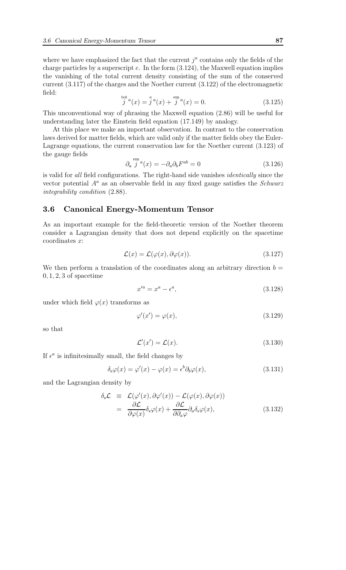where we have emphasized the fact that the current  $j^a$  contains only the fields of the charge particles by a superscript  $e$ . In the form  $(3.124)$ , the Maxwell equation implies the vanishing of the total current density consisting of the sum of the conserved current (3.117) of the charges and the Noether current (3.122) of the electromagnetic field:

$$
\stackrel{\text{tot}}{j}^{a}(x) = \stackrel{\text{e}}{j}^{a}(x) + \stackrel{\text{em}}{j}^{a}(x) = 0.
$$
 (3.125)

This unconventional way of phrasing the Maxwell equation (2.86) will be useful for understanding later the Einstein field equation (17.149) by analogy.

At this place we make an important observation. In contrast to the conservation laws derived for matter fields, which are valid only if the matter fields obey the Euler-Lagrange equations, the current conservation law for the Noether current (3.123) of the gauge fields

$$
\partial_a \stackrel{em}{j}^a(x) = -\partial_a \partial_b F^{ab} = 0 \tag{3.126}
$$

is valid for all field configurations. The right-hand side vanishes identically since the vector potential  $A^a$  as an observable field in any fixed gauge satisfies the *Schwarz* integrability condition (2.88).

## 3.6 Canonical Energy-Momentum Tensor

As an important example for the field-theoretic version of the Noether theorem consider a Lagrangian density that does not depend explicitly on the spacetime coordinates x:

$$
\mathcal{L}(x) = \mathcal{L}(\varphi(x), \partial \varphi(x)). \tag{3.127}
$$

We then perform a translation of the coordinates along an arbitrary direction  $b =$  $0, 1, 2, 3$  of spacetime

$$
x'^a = x^a - \epsilon^a,\tag{3.128}
$$

under which field  $\varphi(x)$  transforms as

$$
\varphi'(x') = \varphi(x),\tag{3.129}
$$

so that

$$
\mathcal{L}'(x') = \mathcal{L}(x). \tag{3.130}
$$

If  $\epsilon^a$  is infinitesimally small, the field changes by

$$
\delta_{s}\varphi(x) = \varphi'(x) - \varphi(x) = \epsilon^{b}\partial_{b}\varphi(x), \qquad (3.131)
$$

and the Lagrangian density by

$$
\delta_{s}\mathcal{L} \equiv \mathcal{L}(\varphi'(x), \partial \varphi'(x)) - \mathcal{L}(\varphi(x), \partial \varphi(x)) \n= \frac{\partial \mathcal{L}}{\partial \varphi(x)} \delta_{s}\varphi(x) + \frac{\partial \mathcal{L}}{\partial \partial_{a}\varphi} \partial_{a}\delta_{s}\varphi(x),
$$
\n(3.132)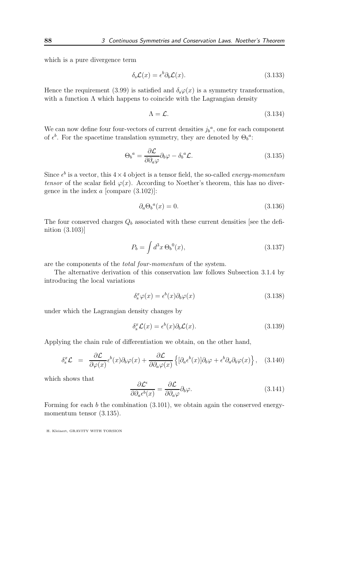which is a pure divergence term

$$
\delta_{\rm s} \mathcal{L}(x) = \epsilon^b \partial_b \mathcal{L}(x). \tag{3.133}
$$

Hence the requirement (3.99) is satisfied and  $\delta_{s}\varphi(x)$  is a symmetry transformation, with a function  $\Lambda$  which happens to coincide with the Lagrangian density

$$
\Lambda = \mathcal{L}.\tag{3.134}
$$

We can now define four four-vectors of current densities  $j_b^a$ , one for each component of  $\epsilon^b$ . For the spacetime translation symmetry, they are denoted by  $\Theta_b^a$ :

$$
\Theta_b{}^a = \frac{\partial \mathcal{L}}{\partial \partial_a \varphi} \partial_b \varphi - \delta_b{}^a \mathcal{L}.
$$
\n(3.135)

Since  $\epsilon^b$  is a vector, this  $4 \times 4$  object is a tensor field, the so-called *energy-momentum* tensor of the scalar field  $\varphi(x)$ . According to Noether's theorem, this has no divergence in the index  $a$  [compare  $(3.102)$ ]:

$$
\partial_a \Theta_b{}^a(x) = 0. \tag{3.136}
$$

The four conserved charges  $Q_b$  associated with these current densities [see the definition (3.103)]

$$
P_b = \int d^3x \,\Theta_b{}^0(x),\tag{3.137}
$$

are the components of the total four-momentum of the system.

The alternative derivation of this conservation law follows Subsection 3.1.4 by introducing the local variations

$$
\delta_{\rm s}^x \varphi(x) = \epsilon^b(x) \partial_b \varphi(x) \tag{3.138}
$$

under which the Lagrangian density changes by

$$
\delta_{\rm s}^x \mathcal{L}(x) = \epsilon^b(x) \partial_b \mathcal{L}(x). \tag{3.139}
$$

Applying the chain rule of differentiation we obtain, on the other hand,

$$
\delta_{\rm s}^x \mathcal{L} = \frac{\partial \mathcal{L}}{\partial \varphi(x)} \epsilon^b(x) \partial_b \varphi(x) + \frac{\partial \mathcal{L}}{\partial \partial_a \varphi(x)} \left\{ [\partial_a \epsilon^b(x)] \partial_b \varphi + \epsilon^b \partial_a \partial_b \varphi(x) \right\}, \quad (3.140)
$$

which shows that

$$
\frac{\partial \mathcal{L}^{\epsilon}}{\partial \partial_{a} \epsilon^{b}(x)} = \frac{\partial \mathcal{L}}{\partial \partial_{a} \varphi} \partial_{b} \varphi.
$$
\n(3.141)

Forming for each  $b$  the combination  $(3.101)$ , we obtain again the conserved energymomentum tensor  $(3.135)$ .

H. Kleinert, GRAVITY WITH TORSION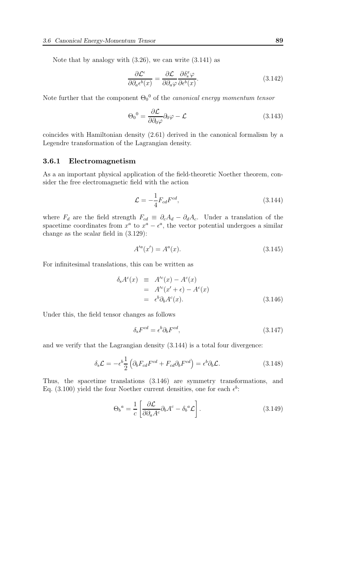Note that by analogy with  $(3.26)$ , we can write  $(3.141)$  as

$$
\frac{\partial \mathcal{L}^{\epsilon}}{\partial \partial_{a} \epsilon^{b}(x)} = \frac{\partial \mathcal{L}}{\partial \partial_{a} \varphi} \frac{\partial \delta_{s}^{x} \varphi}{\partial \epsilon^{b}(x)}.
$$
\n(3.142)

Note further that the component  $\Theta_0{}^0$  of the *canonical energy momentum tensor* 

$$
\Theta_0{}^0 = \frac{\partial \mathcal{L}}{\partial \partial_0 \varphi} \partial_0 \varphi - \mathcal{L}
$$
\n(3.143)

coincides with Hamiltonian density (2.61) derived in the canonical formalism by a Legendre transformation of the Lagrangian density.

#### 3.6.1 Electromagnetism

As a an important physical application of the field-theoretic Noether theorem, consider the free electromagnetic field with the action

$$
\mathcal{L} = -\frac{1}{4} F_{cd} F^{cd},\tag{3.144}
$$

where  $F_d$  are the field strength  $F_{cd} \equiv \partial_c A_d - \partial_d A_c$ . Under a translation of the spacetime coordinates from  $x^a$  to  $x^a - \epsilon^a$ , the vector potential undergoes a similar change as the scalar field in (3.129):

$$
A'^a(x') = A^a(x). \tag{3.145}
$$

For infinitesimal translations, this can be written as

$$
\delta_{s}A^{c}(x) \equiv A'^{c}(x) - A^{c}(x)
$$
  
=  $A'^{c}(x' + \epsilon) - A^{c}(x)$   
=  $\epsilon^{b}\partial_{b}A^{c}(x)$ . (3.146)

Under this, the field tensor changes as follows

$$
\delta_{\rm s} F^{cd} = \epsilon^b \partial_b F^{cd},\tag{3.147}
$$

and we verify that the Lagrangian density (3.144) is a total four divergence:

$$
\delta_{\rm s}\mathcal{L} = -\epsilon^b \frac{1}{2} \left( \partial_b F_{cd} F^{cd} + F_{cd} \partial_b F^{cd} \right) = \epsilon^b \partial_b \mathcal{L}.
$$
 (3.148)

Thus, the spacetime translations (3.146) are symmetry transformations, and Eq. (3.100) yield the four Noether current densities, one for each  $\epsilon^b$ :

$$
\Theta_b{}^a = \frac{1}{c} \left[ \frac{\partial \mathcal{L}}{\partial \partial_a A^c} \partial_b A^c - \delta_b{}^a \mathcal{L} \right]. \tag{3.149}
$$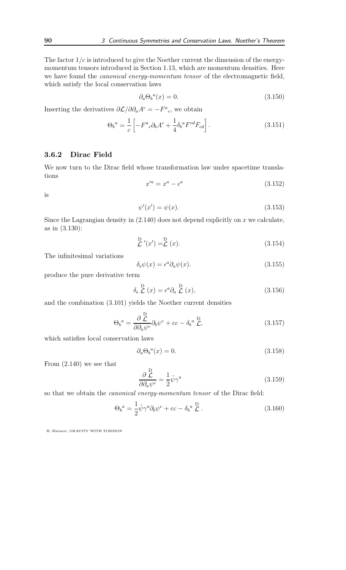The factor  $1/c$  is introduced to give the Noether current the dimension of the energymomentum tensors introduced in Section 1.13, which are momentum densities. Here we have found the canonical energy-momentum tensor of the electromagnetic field, which satisfy the local conservation laws

$$
\partial_a \Theta_b{}^a(x) = 0. \tag{3.150}
$$

Inserting the derivatives  $\partial \mathcal{L}/\partial \partial_a A^c = -F^a{}_c$ , we obtain

$$
\Theta_b{}^a = \frac{1}{c} \left[ -F^a{}_c \partial_b A^c + \frac{1}{4} \delta_b{}^a F^{cd} F_{cd} \right]. \tag{3.151}
$$

## 3.6.2 Dirac Field

We now turn to the Dirac field whose transformation law under spacetime translations

$$
x'^a = x^a - \epsilon^a \tag{3.152}
$$

is

$$
\psi'(x') = \psi(x). \tag{3.153}
$$

Since the Lagrangian density in  $(2.140)$  does not depend explicitly on x we calculate, as in (3.130):

$$
\stackrel{\text{D}}{\mathcal{L}}'(x') = \stackrel{\text{D}}{\mathcal{L}}(x). \tag{3.154}
$$

The infinitesimal variations

$$
\delta_{\rm s}\psi(x) = \epsilon^a \partial_a \psi(x). \tag{3.155}
$$

produce the pure derivative term

$$
\delta_{\rm s} \stackrel{\rm D}{\mathcal{L}}(x) = \epsilon^a \partial_a \stackrel{\rm D}{\mathcal{L}}(x), \tag{3.156}
$$

and the combination (3.101) yields the Noether current densities

$$
\Theta_b{}^a = \frac{\partial \stackrel{\mathcal{D}}{\mathcal{L}}}{\partial \partial_a \psi^c} \partial_b \psi^c + \text{cc} - \delta_b{}^a \stackrel{\mathcal{D}}{\mathcal{L}},\tag{3.157}
$$

which satisfies local conservation laws

$$
\partial_a \Theta_b{}^a(x) = 0. \tag{3.158}
$$

From (2.140) we see that

$$
\frac{\partial \stackrel{\mathcal{D}}{\mathcal{L}}}{\partial \partial_a \psi^c} = \frac{1}{2} \bar{\psi} \gamma^a \tag{3.159}
$$

so that we obtain the canonical energy-momentum tensor of the Dirac field:

$$
\Theta_b{}^a = \frac{1}{2} \bar{\psi} \gamma^a \partial_b \psi^c + \mathbf{c} c - \delta_b{}^a \stackrel{\mathbf{D}}{\mathcal{L}} . \tag{3.160}
$$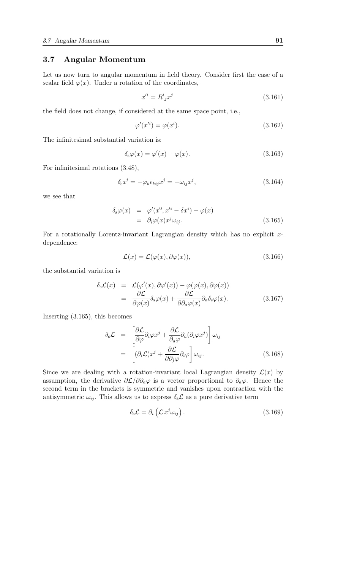## 3.7 Angular Momentum

Let us now turn to angular momentum in field theory. Consider first the case of a scalar field  $\varphi(x)$ . Under a rotation of the coordinates,

$$
x^{\prime i} = R^i{}_j x^j \tag{3.161}
$$

the field does not change, if considered at the same space point, i.e.,

$$
\varphi'(x^{i}) = \varphi(x^{i}).\tag{3.162}
$$

The infinitesimal substantial variation is:

$$
\delta_{\rm s}\varphi(x) = \varphi'(x) - \varphi(x). \tag{3.163}
$$

For infinitesimal rotations (3.48),

$$
\delta_{\rm s} x^i = -\varphi_k \epsilon_{kij} x^j = -\omega_{ij} x^j,\tag{3.164}
$$

we see that

$$
\delta_s \varphi(x) = \varphi'(x^0, x'^i - \delta x^i) - \varphi(x)
$$
  
=  $\partial_i \varphi(x) x^j \omega_{ij}.$  (3.165)

For a rotationally Lorentz-invariant Lagrangian density which has no explicit  $x$ dependence:

$$
\mathcal{L}(x) = \mathcal{L}(\varphi(x), \partial\varphi(x)),\tag{3.166}
$$

the substantial variation is

$$
\delta_{\rm s} \mathcal{L}(x) = \mathcal{L}(\varphi'(x), \partial \varphi'(x)) - \varphi(\varphi(x), \partial \varphi(x)) \n= \frac{\partial \mathcal{L}}{\partial \varphi(x)} \delta_{\rm s} \varphi(x) + \frac{\partial \mathcal{L}}{\partial \partial_{\alpha} \varphi(x)} \partial_{\alpha} \delta_{\rm s} \varphi(x).
$$
\n(3.167)

Inserting (3.165), this becomes

$$
\delta_{\rm s}\mathcal{L} = \left[ \frac{\partial \mathcal{L}}{\partial \varphi} \partial_i \varphi x^j + \frac{\partial \mathcal{L}}{\partial_a \varphi} \partial_a (\partial_i \varphi x^j) \right] \omega_{ij}
$$
  

$$
= \left[ (\partial_i \mathcal{L}) x^j + \frac{\partial \mathcal{L}}{\partial \partial_j \varphi} \partial_i \varphi \right] \omega_{ij}.
$$
 (3.168)

Since we are dealing with a rotation-invariant local Lagrangian density  $\mathcal{L}(x)$  by assumption, the derivative  $\partial \mathcal{L}/\partial \partial_a\varphi$  is a vector proportional to  $\partial_a\varphi$ . Hence the second term in the brackets is symmetric and vanishes upon contraction with the antisymmetric  $\omega_{ij}$ . This allows us to express  $\delta_{s}\mathcal{L}$  as a pure derivative term

$$
\delta_{\rm s} \mathcal{L} = \partial_i \left( \mathcal{L} \, x^j \omega_{ij} \right). \tag{3.169}
$$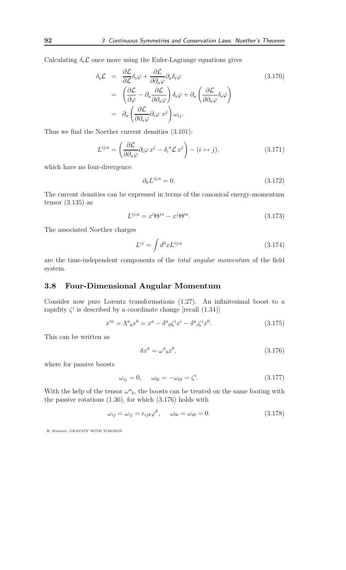Calculating  $\delta_{s}\mathcal{L}$  once more using the Euler-Lagrange equations gives

$$
\delta_{s}\mathcal{L} = \frac{\partial \mathcal{L}}{\partial \mathcal{L}} \delta_{s} \varphi + \frac{\partial \mathcal{L}}{\partial \partial_{a} \varphi} \partial_{a} \delta_{s} \varphi
$$
\n
$$
= \left( \frac{\partial \mathcal{L}}{\partial \varphi} - \partial_{a} \frac{\partial \mathcal{L}}{\partial \partial_{a} \varphi} \right) \delta_{s} \varphi + \partial_{a} \left( \frac{\partial \mathcal{L}}{\partial \partial_{a} \varphi} \delta_{s} \varphi \right)
$$
\n
$$
= \partial_{a} \left( \frac{\partial \mathcal{L}}{\partial \partial_{a} \varphi} \partial_{i} \varphi \right) \omega_{ij}.
$$
\n(3.170)

Thus we find the Noether current densities (3.101):

$$
L^{ij,a} = \left(\frac{\partial \mathcal{L}}{\partial \partial_a \varphi} \partial_i \varphi \, x^j - \delta_i^a \mathcal{L} \, x^j\right) - (i \leftrightarrow j),\tag{3.171}
$$

which have no four-divergence

$$
\partial_a L^{ij,a} = 0. \tag{3.172}
$$

The current densities can be expressed in terms of the canonical energy-momentum tensor  $(3.135)$  as

$$
L^{ij,a} = x^i \Theta^{ja} - x^j \Theta^{ia}.\tag{3.173}
$$

The associated Noether charges

$$
L^{ij} = \int d^3x L^{ij,a} \tag{3.174}
$$

are the time-independent components of the total angular momentum of the field system.

## 3.8 Four-Dimensional Angular Momentum

Consider now pure Lorentz transformations (1.27). An infinitesimal boost to a rapidity  $\zeta^i$  is described by a coordinate change [recall (1.34)]

$$
x'^a = \Lambda^a{}_b x^b = x^a - \delta^a{}_0 \zeta^i x^i - \delta^a{}_i \zeta^i x^0. \tag{3.175}
$$

This can be written as

$$
\delta x^a = \omega^a{}_b x^b,\tag{3.176}
$$

where for passive boosts

$$
\omega_{ij} = 0, \qquad \omega_{0i} = -\omega_{i0} = \zeta^i. \tag{3.177}
$$

With the help of the tensor  $\omega^a{}_b$ , the boosts can be treated on the same footing with the passive rotations (1.36), for which (3.176) holds with

$$
\omega_{ij} = \omega_{ij} = \epsilon_{ijk}\varphi^k, \qquad \omega_{0i} = \omega_{i0} = 0. \tag{3.178}
$$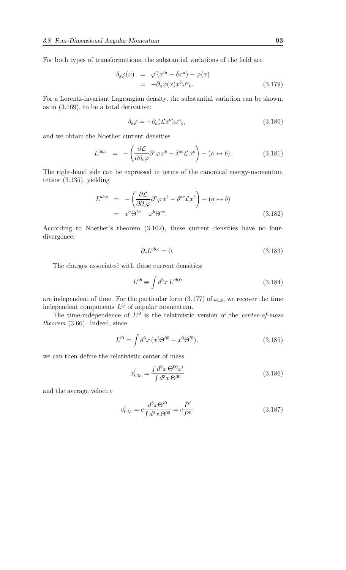For both types of transformations, the substantial variations of the field are

$$
\delta_s \varphi(x) = \varphi'(x'^a - \delta x^a) - \varphi(x)
$$
  
=  $-\partial_a \varphi(x) x^b \omega^a{}_b.$  (3.179)

For a Lorentz-invariant Lagrangian density, the substantial variation can be shown, as in (3.169), to be a total derivative:

$$
\delta_{\rm s}\varphi = -\partial_a(\mathcal{L}x^b)\omega^a{}_b,\tag{3.180}
$$

and we obtain the Noether current densities

$$
L^{ab,c} = -\left(\frac{\partial \mathcal{L}}{\partial \partial_c \varphi} \partial^c \varphi x^b - \delta^{ac} \mathcal{L} x^b\right) - (a \leftrightarrow b). \tag{3.181}
$$

The right-hand side can be expressed in terms of the canonical energy-momentum tensor (3.135), yielding

$$
L^{ab,c} = -\left(\frac{\partial \mathcal{L}}{\partial \partial_c \varphi} \partial^c \varphi x^b - \delta^{ac} \mathcal{L} x^b\right) - (a \leftrightarrow b)
$$
  
=  $x^a \Theta^{bc} - x^b \Theta^{ac}.$  (3.182)

According to Noether's theorem (3.102), these current densities have no fourdivergence:

$$
\partial_c L^{ab,c} = 0. \tag{3.183}
$$

The charges associated with these current densities:

$$
L^{ab} \equiv \int d^3x \, L^{ab,0} \tag{3.184}
$$

are independent of time. For the particular form  $(3.177)$  of  $\omega_{ab}$ , we recover the time independent components  $L^{ij}$  of angular momentum.

The time-independence of  $L^{i0}$  is the relativistic version of the *center-of-mass* theorem (3.66). Indeed, since

$$
L^{i0} = \int d^3x \, (x^i \Theta^{00} - x^0 \Theta^{i0}), \tag{3.185}
$$

we can then define the relativistic center of mass

$$
x_{\text{CM}}^i = \frac{\int d^3x \,\Theta^{00} x^i}{\int d^3x \,\Theta^{00}}\tag{3.186}
$$

and the average velocity

$$
v_{\text{CM}}^i = c \frac{d^3 x \Theta^{i0}}{\int d^3 x \,\Theta^{00}} = c \frac{P^i}{P^0}.\tag{3.187}
$$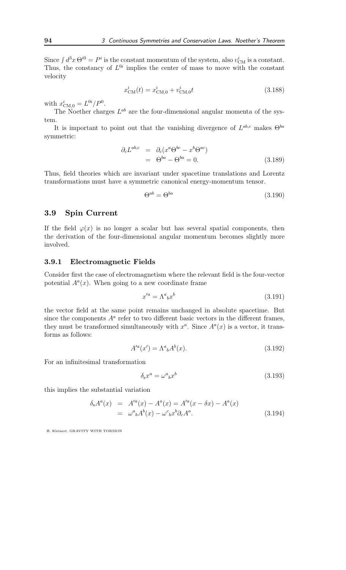Since  $\int d^3x \Theta^{i0} = P^i$  is the constant momentum of the system, also  $v_{\text{CM}}^i$  is a constant. Thus, the constancy of  $L^{0i}$  implies the center of mass to move with the constant velocity

$$
x_{\text{CM}}^i(t) = x_{\text{CM},0}^i + v_{\text{CM},0}^i t \tag{3.188}
$$

with  $x_{\text{CM},0}^{i} = L^{0i}/P^{0}$ .

The Noether charges  $L^{ab}$  are the four-dimensional angular momenta of the system.

It is important to point out that the vanishing divergence of  $L^{ab,c}$  makes  $\Theta^{ba}$ symmetric:

$$
\partial_c L^{ab,c} = \partial_c (x^a \Theta^{bc} - x^b \Theta^{ac})
$$
  
=  $\Theta^{ba} - \Theta^{ba} = 0.$  (3.189)

Thus, field theories which are invariant under spacetime translations and Lorentz transformations must have a symmetric canonical energy-momentum tensor.

$$
\Theta^{ab} = \Theta^{ba} \tag{3.190}
$$

#### 3.9 Spin Current

If the field  $\varphi(x)$  is no longer a scalar but has several spatial components, then the derivation of the four-dimensional angular momentum becomes slightly more involved.

#### 3.9.1 Electromagnetic Fields

Consider first the case of electromagnetism where the relevant field is the four-vector potential  $A<sup>a</sup>(x)$ . When going to a new coordinate frame

$$
x'^a = \Lambda^a{}_b x^b \tag{3.191}
$$

the vector field at the same point remains unchanged in absolute spacetime. But since the components  $A^a$  refer to two different basic vectors in the different frames, they must be transformed simultaneously with  $x^a$ . Since  $A^a(x)$  is a vector, it transforms as follows:

$$
A^{\prime a}(x') = \Lambda^a{}_b A^b(x). \tag{3.192}
$$

For an infinitesimal transformation

$$
\delta_{\rm s} x^a = \omega^a{}_b x^b \tag{3.193}
$$

this implies the substantial variation

$$
\delta_{s}A^{a}(x) = A'^{a}(x) - A^{a}(x) = A'^{a}(x - \delta x) - A^{a}(x)
$$
  
=  $\omega^{a}{}_{b}A^{b}(x) - \omega^{c}{}_{b}x^{b}\partial_{c}A^{a}$ . (3.194)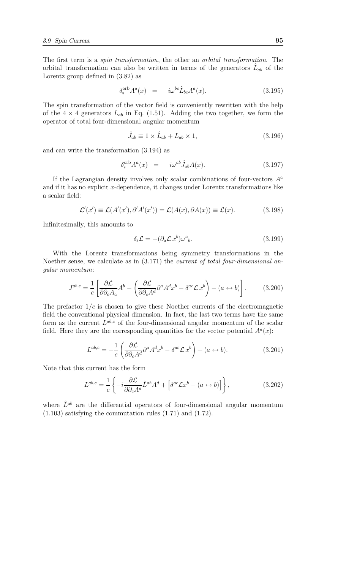The first term is a spin transformation, the other an orbital transformation. The orbital transformation can also be written in terms of the generators  $\hat{L}_{ab}$  of the Lorentz group defined in (3.82) as

$$
\delta_s^{\text{orb}} A^a(x) = -i\omega^{bc} \hat{L}_{bc} A^a(x). \tag{3.195}
$$

The spin transformation of the vector field is conveniently rewritten with the help of the  $4 \times 4$  generators  $L_{ab}$  in Eq. (1.51). Adding the two together, we form the operator of total four-dimensional angular momentum

$$
\hat{J}_{ab} \equiv 1 \times \hat{L}_{ab} + L_{ab} \times 1,\tag{3.196}
$$

and can write the transformation (3.194) as

$$
\delta_s^{\text{orb}} A^a(x) = -i\omega^{ab} \hat{J}_{ab} A(x). \tag{3.197}
$$

If the Lagrangian density involves only scalar combinations of four-vectors  $A^a$ and if it has no explicit  $x$ -dependence, it changes under Lorentz transformations like a scalar field:

$$
\mathcal{L}'(x') \equiv \mathcal{L}(A'(x'), \partial' A'(x')) = \mathcal{L}(A(x), \partial A(x)) \equiv \mathcal{L}(x). \tag{3.198}
$$

Infinitesimally, this amounts to

$$
\delta_{\rm s}\mathcal{L} = -(\partial_a \mathcal{L} \, x^b)\omega^a{}_b. \tag{3.199}
$$

With the Lorentz transformations being symmetry transformations in the Noether sense, we calculate as in  $(3.171)$  the *current of total four-dimensional an*gular momentum:

$$
J^{ab,c} = \frac{1}{c} \left[ \frac{\partial \mathcal{L}}{\partial \partial_c A_a} A^b - \left( \frac{\partial \mathcal{L}}{\partial \partial_c A^d} \partial^a A^d x^b - \delta^{ac} \mathcal{L} x^b \right) - (a \leftrightarrow b) \right]. \tag{3.200}
$$

The prefactor  $1/c$  is chosen to give these Noether currents of the electromagnetic field the conventional physical dimension. In fact, the last two terms have the same form as the current  $L^{ab,c}$  of the four-dimensional angular momentum of the scalar field. Here they are the corresponding quantities for the vector potential  $A<sup>a</sup>(x)$ :

$$
L^{ab,c} = -\frac{1}{c} \left( \frac{\partial \mathcal{L}}{\partial \partial_c A^d} \partial^a A^d x^b - \delta^{ac} \mathcal{L} x^b \right) + (a \leftrightarrow b). \tag{3.201}
$$

Note that this current has the form

$$
L^{ab,c} = \frac{1}{c} \left\{ -i \frac{\partial \mathcal{L}}{\partial \partial_c A^d} \hat{L}^{ab} A^d + \left[ \delta^{ac} \mathcal{L} x^b - (a \leftrightarrow b) \right] \right\},\tag{3.202}
$$

where  $\hat{L}^{ab}$  are the differential operators of four-dimensional angular momentum (1.103) satisfying the commutation rules (1.71) and (1.72).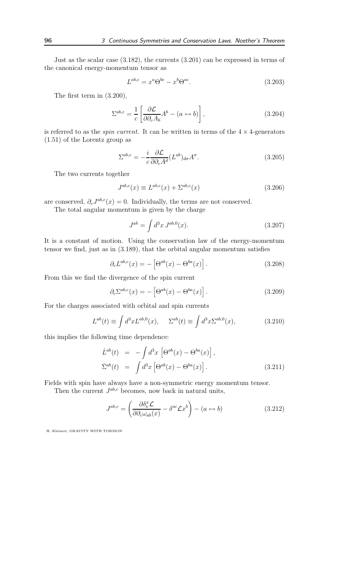Just as the scalar case (3.182), the currents (3.201) can be expressed in terms of the canonical energy-momentum tensor as

$$
L^{ab,c} = x^a \Theta^{bc} - x^b \Theta^{ac}.
$$
\n(3.203)

The first term in (3.200),

$$
\Sigma^{ab,c} = \frac{1}{c} \left[ \frac{\partial \mathcal{L}}{\partial \partial_c A_b} A^b - (a \leftrightarrow b) \right],
$$
\n(3.204)

is referred to as the *spin current*. It can be written in terms of the  $4 \times 4$ -generators (1.51) of the Lorentz group as

$$
\Sigma^{ab,c} = -\frac{i}{c} \frac{\partial \mathcal{L}}{\partial \partial_c A^d} (L^{ab})_{d\sigma} A^{\sigma}.
$$
 (3.205)

The two currents together

$$
J^{ab,c}(x) \equiv L^{ab,c}(x) + \Sigma^{ab,c}(x) \tag{3.206}
$$

are conserved,  $\partial_c J^{ab,c}(x) = 0$ . Individually, the terms are not conserved.

The total angular momentum is given by the charge

$$
J^{ab} = \int d^3x \, J^{ab,0}(x). \tag{3.207}
$$

It is a constant of motion. Using the conservation law of the energy-momentum tensor we find, just as in (3.189), that the orbital angular momentum satisfies

$$
\partial_c L^{ab,c}(x) = -\left[\Theta^{ab}(x) - \Theta^{ba}(x)\right].\tag{3.208}
$$

From this we find the divergence of the spin current

$$
\partial_c \Sigma^{ab,c}(x) = -\left[\Theta^{ab}(x) - \Theta^{ba}(x)\right].\tag{3.209}
$$

For the charges associated with orbital and spin currents

$$
L^{ab}(t) \equiv \int d^3x L^{ab,0}(x), \qquad \Sigma^{ab}(t) \equiv \int d^3x \Sigma^{ab,0}(x), \tag{3.210}
$$

this implies the following time dependence:

$$
\dot{L}^{ab}(t) = -\int d^3x \left[ \Theta^{ab}(x) - \Theta^{ba}(x) \right],
$$
  
\n
$$
\dot{\Sigma}^{ab}(t) = \int d^3x \left[ \Theta^{ab}(x) - \Theta^{ba}(x) \right].
$$
\n(3.211)

Fields with spin have always have a non-symmetric energy momentum tensor.

Then the current  $J^{ab,c}$  becomes, now back in natural units,

$$
J^{ab,c} = \left(\frac{\partial \delta_s^x \mathcal{L}}{\partial \partial_c \omega_{ab}(x)} - \delta^{ac} \mathcal{L}x^b\right) - (a \leftrightarrow b)
$$
(3.212)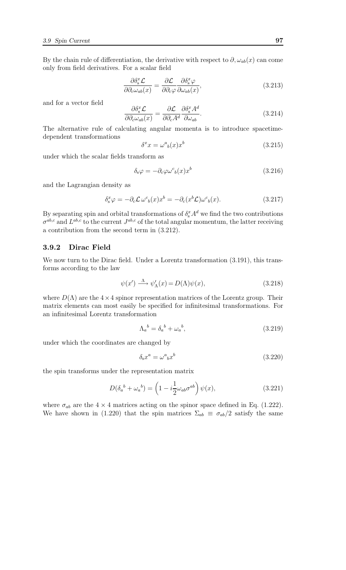By the chain rule of differentiation, the derivative with respect to  $\partial$ ,  $\omega_{ab}(x)$  can come only from field derivatives. For a scalar field

$$
\frac{\partial \delta_{\rm s}^x \mathcal{L}}{\partial \partial_c \omega_{ab}(x)} = \frac{\partial \mathcal{L}}{\partial \partial_c \varphi} \frac{\partial \delta_{\rm s}^x \varphi}{\partial \omega_{ab}(x)},\tag{3.213}
$$

and for a vector field

$$
\frac{\partial \delta_{\rm s}^x \mathcal{L}}{\partial \partial_c \omega_{ab}(x)} = \frac{\partial \mathcal{L}}{\partial \partial_c A^d} \frac{\partial \delta_{\rm s}^x A^d}{\partial \omega_{ab}}.
$$
\n(3.214)

The alternative rule of calculating angular momenta is to introduce spacetimedependent transformations

$$
\delta^x x = \omega^a{}_b(x) x^b \tag{3.215}
$$

under which the scalar fields transform as

$$
\delta_{s}\varphi = -\partial_{c}\varphi\omega^{c}{}_{b}(x)x^{b} \tag{3.216}
$$

and the Lagrangian density as

$$
\delta_s^x \varphi = -\partial_c \mathcal{L} \,\omega^c{}_b(x) x^b = -\partial_c (x^b \mathcal{L}) \omega^c{}_b(x). \tag{3.217}
$$

By separating spin and orbital transformations of  $\delta_s^x A^d$  we find the two contributions  $\sigma^{ab,c}$  and  $L^{ab,c}$  to the current  $J^{ab,c}$  of the total angular momentum, the latter receiving a contribution from the second term in (3.212).

## 3.9.2 Dirac Field

We now turn to the Dirac field. Under a Lorentz transformation  $(3.191)$ , this transforms according to the law

$$
\psi(x') \xrightarrow{\Lambda} \psi'_{\Lambda}(x) = D(\Lambda)\psi(x), \tag{3.218}
$$

where  $D(\Lambda)$  are the  $4 \times 4$  spinor representation matrices of the Lorentz group. Their matrix elements can most easily be specified for infinitesimal transformations. For an infinitesimal Lorentz transformation

$$
\Lambda_a{}^b = \delta_a{}^b + \omega_a{}^b,\tag{3.219}
$$

under which the coordinates are changed by

$$
\delta_{\rm s} x^a = \omega^a{}_b x^b \tag{3.220}
$$

the spin transforms under the representation matrix

$$
D(\delta_a{}^b + \omega_a{}^b) = \left(1 - i\frac{1}{2}\omega_{ab}\sigma^{ab}\right)\psi(x),\tag{3.221}
$$

where  $\sigma_{ab}$  are the 4  $\times$  4 matrices acting on the spinor space defined in Eq. (1.222). We have shown in (1.220) that the spin matrices  $\Sigma_{ab} \equiv \sigma_{ab}/2$  satisfy the same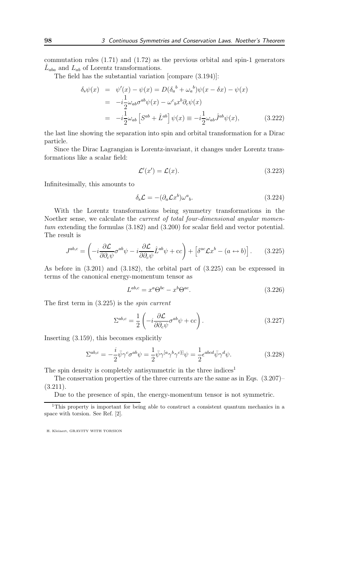commutation rules (1.71) and (1.72) as the previous orbital and spin-1 generators  $\hat{L}_{aba}$  and  $L_{ab}$  of Lorentz transformations.

The field has the substantial variation [compare (3.194)]:

$$
\delta_s \psi(x) = \psi'(x) - \psi(x) = D(\delta_a{}^b + \omega_a{}^b) \psi(x - \delta x) - \psi(x)
$$
  
\n
$$
= -i \frac{1}{2} \omega_{ab} \sigma^{ab} \psi(x) - \omega^c{}_b x^b \partial_c \psi(x)
$$
  
\n
$$
= -i \frac{1}{2} \omega_{ab} \left[ S^{ab} + \hat{L}^{ab} \right] \psi(x) \equiv -i \frac{1}{2} \omega_{ab} \hat{J}^{ab} \psi(x), \qquad (3.222)
$$

the last line showing the separation into spin and orbital transformation for a Dirac particle.

Since the Dirac Lagrangian is Lorentz-invariant, it changes under Lorentz transformations like a scalar field:

$$
\mathcal{L}'(x') = \mathcal{L}(x). \tag{3.223}
$$

Infinitesimally, this amounts to

$$
\delta_{\rm s} \mathcal{L} = -(\partial_a \mathcal{L} x^b) \omega^a{}_b. \tag{3.224}
$$

With the Lorentz transformations being symmetry transformations in the Noether sense, we calculate the current of total four-dimensional angular momentum extending the formulas (3.182) and (3.200) for scalar field and vector potential. The result is

$$
J^{ab,c} = \left( -i \frac{\partial \mathcal{L}}{\partial \partial_c \psi} \sigma^{ab} \psi - i \frac{\partial \mathcal{L}}{\partial \partial_c \psi} \hat{L}^{ab} \psi + cc \right) + \left[ \delta^{ac} \mathcal{L} x^b - (a \leftrightarrow b) \right]. \tag{3.225}
$$

As before in (3.201) and (3.182), the orbital part of (3.225) can be expressed in terms of the canonical energy-momentum tensor as

$$
L^{ab,c} = x^a \Theta^{bc} - x^b \Theta^{ac}.
$$
\n(3.226)

The first term in (3.225) is the spin current

$$
\Sigma^{ab,c} = \frac{1}{2} \left( -i \frac{\partial \mathcal{L}}{\partial \partial_c \psi} \sigma^{ab} \psi + \mathbf{c} c \right). \tag{3.227}
$$

Inserting (3.159), this becomes explicitly

$$
\Sigma^{ab,c} = -\frac{i}{2}\bar{\psi}\gamma^c\sigma^{ab}\psi = \frac{1}{2}\bar{\psi}\gamma^{[a}\gamma^b\gamma^{c}\psi = \frac{1}{2}\epsilon^{abcd}\bar{\psi}\gamma^d\psi.
$$
 (3.228)

The spin density is completely antisymmetric in the three indices<sup>1</sup>

The conservation properties of the three currents are the same as in Eqs. (3.207)–  $(3.211).$ 

Due to the presence of spin, the energy-momentum tensor is not symmetric.

<sup>&</sup>lt;sup>1</sup>This property is important for being able to construct a consistent quantum mechanics in a space with torsion. See Ref. [2].

H. Kleinert, GRAVITY WITH TORSION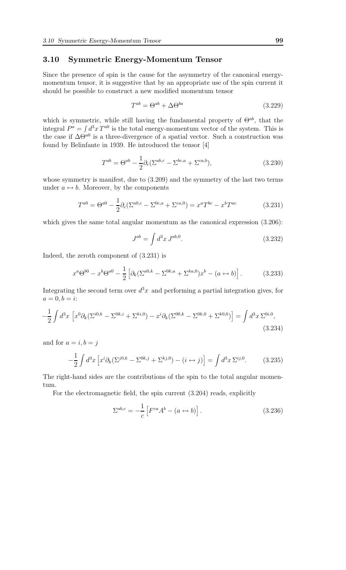### 3.10 Symmetric Energy-Momentum Tensor

Since the presence of spin is the cause for the asymmetry of the canonical energymomentum tensor, it is suggestive that by an appropriate use of the spin current it should be possible to construct a new modified momentum tensor

$$
T^{ab} = \Theta^{ab} + \Delta \Theta^{ba} \tag{3.229}
$$

which is symmetric, while still having the fundamental property of  $\Theta^{ab}$ , that the integral  $P^a = \int d^3x T^{a0}$  is the total energy-momentum vector of the system. This is the case if  $\Delta\Theta^{a0}$  is a three-divergence of a spatial vector. Such a construction was found by Belinfante in 1939. He introduced the tensor [4]

$$
T^{ab} = \Theta^{ab} - \frac{1}{2}\partial_c(\Sigma^{ab,c} - \Sigma^{bc,a} + \Sigma^{ca,b}),\tag{3.230}
$$

whose symmetry is manifest, due to (3.209) and the symmetry of the last two terms under  $a \leftrightarrow b$ . Moreover, by the components

$$
T^{a0} = \Theta^{a0} - \frac{1}{2}\partial_c(\Sigma^{a0,c} - \Sigma^{0c,a} + \Sigma^{ca,0}) = x^a T^{bc} - x^b T^{ac}
$$
 (3.231)

which gives the same total angular momentum as the canonical expression  $(3.206)$ :

$$
J^{ab} = \int d^3x \, J^{ab,0}.\tag{3.232}
$$

Indeed, the zeroth component of (3.231) is

$$
x^{a} \Theta^{b0} - x^{b} \Theta^{a0} - \frac{1}{2} \left[ \partial_{k} (\Sigma^{a0,k} - \Sigma^{0k,a} + \Sigma^{ka,0}) x^{b} - (a \leftrightarrow b) \right].
$$
 (3.233)

Integrating the second term over  $d^3x$  and performing a partial integration gives, for  $a = 0, b = i$ :

$$
-\frac{1}{2}\int d^3x \left[ x^0 \partial_k (\Sigma^{i0,k} - \Sigma^{0k,i} + \Sigma^{ki,0}) - x^i \partial_k (\Sigma^{00,k} - \Sigma^{0k,0} + \Sigma^{k0,0}) \right] = \int d^3x \,\Sigma^{0i,0},\tag{3.234}
$$

and for  $a = i, b = j$ 

$$
-\frac{1}{2}\int d^3x \left[ x^i \partial_k (\Sigma^{j0,k} - \Sigma^{0k,j} + \Sigma^{kj,0}) - (i \leftrightarrow j) \right] = \int d^3x \,\Sigma^{ij,0}.\tag{3.235}
$$

The right-hand sides are the contributions of the spin to the total angular momentum.

For the electromagnetic field, the spin current (3.204) reads, explicitly

$$
\Sigma^{ab,c} = -\frac{1}{c} \left[ F^{ca} A^b - (a \leftrightarrow b) \right]. \tag{3.236}
$$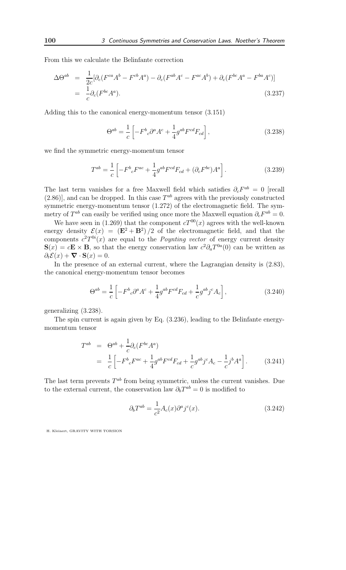From this we calculate the Belinfante correction

$$
\Delta\Theta^{ab} = \frac{1}{2c} [\partial_c (F^{ca}A^b - F^{cb}A^a) - \partial_c (F^{ab}A^c - F^{ac}A^b) + \partial_c (F^{bc}A^a - F^{ba}A^c)]
$$
  
= 
$$
\frac{1}{c}\partial_c (F^{bc}A^a).
$$
(3.237)

Adding this to the canonical energy-momentum tensor (3.151)

$$
\Theta^{ab} = \frac{1}{c} \left[ -F^b{}_c \partial^a A^c + \frac{1}{4} g^{ab} F^{cd} F_{cd} \right],\tag{3.238}
$$

we find the symmetric energy-momentum tensor

$$
T^{ab} = \frac{1}{c} \left[ -F^b{}_c F^{ac} + \frac{1}{4} g^{ab} F^{cd} F_{cd} + (\partial_c F^{bc}) A^a \right].
$$
 (3.239)

The last term vanishes for a free Maxwell field which satisfies  $\partial_c F^{ab} = 0$  [recall  $(2.86)$ , and can be dropped. In this case  $T^{ab}$  agrees with the previously constructed symmetric energy-momentum tensor (1.272) of the electromagnetic field. The symmetry of  $T^{ab}$  can easily be verified using once more the Maxwell equation  $\partial_c F^{ab} = 0$ .

We have seen in (1.269) that the component  $cT^{00}(x)$  agrees with the well-known energy density  $\mathcal{E}(x) = (E^2 + B^2)/2$  of the electromagnetic field, and that the components  $c^2T^{0i}(x)$  are equal to the *Poynting vector* of energy current density  $\mathbf{S}(x) = c\mathbf{E} \times \mathbf{B}$ , so that the energy conservation law  $c^2 \partial_a T^{0a}(0)$  can be written as  $\partial_t \mathcal{E}(x) + \mathbf{\nabla} \cdot \mathbf{S}(x) = 0.$ 

In the presence of an external current, where the Lagrangian density is (2.83), the canonical energy-momentum tensor becomes

$$
\Theta^{ab} = \frac{1}{c} \left[ -F^b{}_c \partial^a A^c + \frac{1}{4} g^{ab} F^{cd} F_{cd} + \frac{1}{c} g^{ab} j^c A_c \right],\tag{3.240}
$$

generalizing (3.238).

The spin current is again given by Eq. (3.236), leading to the Belinfante energymomentum tensor

$$
T^{ab} = \Theta^{ab} + \frac{1}{c} \partial_c (F^{bc} A^a)
$$
  
= 
$$
\frac{1}{c} \left[ -F^b{}_c F^{ac} + \frac{1}{4} g^{ab} F^{cd} F_{cd} + \frac{1}{c} g^{ab} j^c A_c - \frac{1}{c} j^b A^a \right].
$$
 (3.241)

The last term prevents  $T^{ab}$  from being symmetric, unless the current vanishes. Due to the external current, the conservation law  $\partial_b T^{ab} = 0$  is modified to

$$
\partial_b T^{ab} = \frac{1}{c^2} A_c(x) \partial^a j^c(x). \tag{3.242}
$$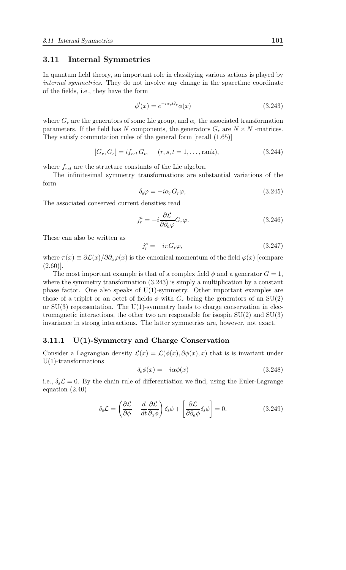#### 3.11 Internal Symmetries

In quantum field theory, an important role in classifying various actions is played by internal symmetries. They do not involve any change in the spacetime coordinate of the fields, i.e., they have the form

$$
\phi'(x) = e^{-i\alpha_r G_r} \phi(x) \tag{3.243}
$$

where  $G_r$  are the generators of some Lie group, and  $\alpha_r$  the associated transformation parameters. If the field has N components, the generators  $G_r$  are  $N \times N$  -matrices. They satisfy commutation rules of the general form [recall (1.65)]

$$
[G_r, G_s] = if_{rst} G_t, \quad (r, s, t = 1, \dots, \text{rank}),
$$
\n(3.244)

where  $f_{rst}$  are the structure constants of the Lie algebra.

The infinitesimal symmetry transformations are substantial variations of the form

$$
\delta_{\rm s}\varphi = -i\alpha_r G_r \varphi,\tag{3.245}
$$

The associated conserved current densities read

$$
j_r^a = -i \frac{\partial \mathcal{L}}{\partial \partial_a \varphi} G_r \varphi.
$$
 (3.246)

These can also be written as

$$
j_r^a = -i\pi G_r \varphi,\tag{3.247}
$$

where  $\pi(x) \equiv \partial \mathcal{L}(x)/\partial \partial_{a}\varphi(x)$  is the canonical momentum of the field  $\varphi(x)$  [compare  $(2.60)$ ].

The most important example is that of a complex field  $\phi$  and a generator  $G = 1$ , where the symmetry transformation  $(3.243)$  is simply a multiplication by a constant phase factor. One also speaks of  $U(1)$ -symmetry. Other important examples are those of a triplet or an octet of fields  $\phi$  with  $G_r$  being the generators of an SU(2) or  $SU(3)$  representation. The  $U(1)$ -symmetry leads to charge conservation in electromagnetic interactions, the other two are responsible for isospin  $SU(2)$  and  $SU(3)$ invariance in strong interactions. The latter symmetries are, however, not exact.

## 3.11.1 U(1)-Symmetry and Charge Conservation

Consider a Lagrangian density  $\mathcal{L}(x) = \mathcal{L}(\phi(x), \partial \phi(x), x)$  that is is invariant under U(1)-transformations

$$
\delta_{\rm s}\phi(x) = -i\alpha\phi(x) \tag{3.248}
$$

i.e.,  $\delta_{s}\mathcal{L}=0$ . By the chain rule of differentiation we find, using the Euler-Lagrange equation (2.40)

$$
\delta_{\rm s}\mathcal{L} = \left(\frac{\partial \mathcal{L}}{\partial \phi} - \frac{d}{dt}\frac{\partial \mathcal{L}}{\partial_{a}\phi}\right)\delta_{\rm s}\phi + \left[\frac{\partial \mathcal{L}}{\partial \partial_{a}\phi}\delta_{\rm s}\phi\right] = 0.
$$
 (3.249)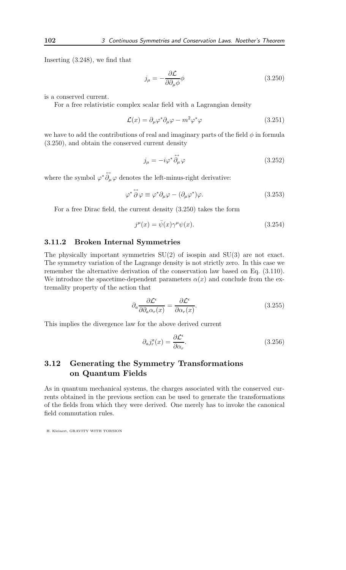Inserting (3.248), we find that

$$
j_{\mu} = -\frac{\partial \mathcal{L}}{\partial \partial_{\mu} \phi} \phi \tag{3.250}
$$

is a conserved current.

For a free relativistic complex scalar field with a Lagrangian density

$$
\mathcal{L}(x) = \partial_{\mu} \varphi^* \partial_{\mu} \varphi - m^2 \varphi^* \varphi \tag{3.251}
$$

we have to add the contributions of real and imaginary parts of the field  $\phi$  in formula (3.250), and obtain the conserved current density

$$
j_{\mu} = -i\varphi^* \stackrel{\leftrightarrow}{\partial_{\mu}} \varphi \tag{3.252}
$$

where the symbol  $\varphi^* \partial_\mu \varphi$  denotes the left-minus-right derivative:

$$
\varphi^* \stackrel{\leftrightarrow}{\partial} \varphi \equiv \varphi^* \partial_\mu \varphi - (\partial_\mu \varphi^*) \varphi. \tag{3.253}
$$

For a free Dirac field, the current density (3.250) takes the form

$$
j^{\mu}(x) = \bar{\psi}(x)\gamma^{\mu}\psi(x). \tag{3.254}
$$

#### 3.11.2 Broken Internal Symmetries

The physically important symmetries SU(2) of isospin and SU(3) are not exact. The symmetry variation of the Lagrange density is not strictly zero. In this case we remember the alternative derivation of the conservation law based on Eq. (3.110). We introduce the spacetime-dependent parameters  $\alpha(x)$  and conclude from the extremality property of the action that

$$
\partial_a \frac{\partial \mathcal{L}^{\epsilon}}{\partial \partial_a \alpha_r(x)} = \frac{\partial \mathcal{L}^{\epsilon}}{\partial \alpha_r(x)}.
$$
\n(3.255)

This implies the divergence law for the above derived current

$$
\partial_a j_r^a(x) = \frac{\partial \mathcal{L}^\epsilon}{\partial \alpha_r}.\tag{3.256}
$$

## 3.12 Generating the Symmetry Transformations on Quantum Fields

As in quantum mechanical systems, the charges associated with the conserved currents obtained in the previous section can be used to generate the transformations of the fields from which they were derived. One merely has to invoke the canonical field commutation rules.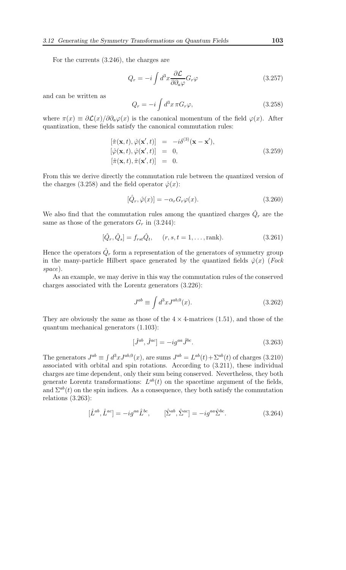For the currents (3.246), the charges are

$$
Q_r = -i \int d^3x \frac{\partial \mathcal{L}}{\partial \partial_a \varphi} G_r \varphi \tag{3.257}
$$

and can be written as

$$
Q_r = -i \int d^3x \,\pi G_r \varphi,\tag{3.258}
$$

where  $\pi(x) \equiv \partial \mathcal{L}(x)/\partial \partial_{a} \varphi(x)$  is the canonical momentum of the field  $\varphi(x)$ . After quantization, these fields satisfy the canonical commutation rules:

$$
[\hat{\pi}(\mathbf{x},t), \hat{\varphi}(\mathbf{x}',t)] = -i\delta^{(3)}(\mathbf{x}-\mathbf{x}'),[\hat{\varphi}(\mathbf{x},t), \hat{\varphi}(\mathbf{x}',t)] = 0,[\hat{\pi}(\mathbf{x},t), \hat{\pi}(\mathbf{x}',t)] = 0.
$$
 (3.259)

From this we derive directly the commutation rule between the quantized version of the charges (3.258) and the field operator  $\hat{\varphi}(x)$ :

$$
[\hat{Q}_r, \hat{\varphi}(x)] = -\alpha_r G_r \varphi(x). \tag{3.260}
$$

We also find that the commutation rules among the quantized charges  $\hat{Q}_r$  are the same as those of the generators  $G_r$  in (3.244):

$$
[\hat{Q}_r, \hat{Q}_s] = f_{rst}\hat{Q}_t, \quad (r, s, t = 1, \dots, \text{rank}).
$$
\n(3.261)

Hence the operators  $\hat{Q}_r$  form a representation of the generators of symmetry group in the many-particle Hilbert space generated by the quantized fields  $\hat{\varphi}(x)$  (*Fock* space).

As an example, we may derive in this way the commutation rules of the conserved charges associated with the Lorentz generators (3.226):

$$
J^{ab} \equiv \int d^3x J^{ab,0}(x). \tag{3.262}
$$

They are obviously the same as those of the  $4 \times 4$ -matrices (1.51), and those of the quantum mechanical generators (1.103):

$$
[\hat{J}^{ab}, \hat{J}^{ac}] = -ig^{aa}\hat{J}^{bc}.
$$
\n(3.263)

The generators  $J^{ab} \equiv \int d^3x J^{ab,0}(x)$ , are sums  $J^{ab} = L^{ab}(t) + \Sigma^{ab}(t)$  of charges (3.210) associated with orbital and spin rotations. According to (3.211), these individual charges are time dependent, only their sum being conserved. Nevertheless, they both generate Lorentz transformations:  $L^{ab}(t)$  on the spacetime argument of the fields, and  $\Sigma^{ab}(t)$  on the spin indices. As a consequence, they both satisfy the commutation relations (3.263):

$$
[\hat{L}^{ab}, \hat{L}^{ac}] = -ig^{aa}\hat{L}^{bc}, \qquad [\hat{\Sigma}^{ab}, \hat{\Sigma}^{ac}] = -ig^{aa}\hat{\Sigma}^{bc}.
$$
 (3.264)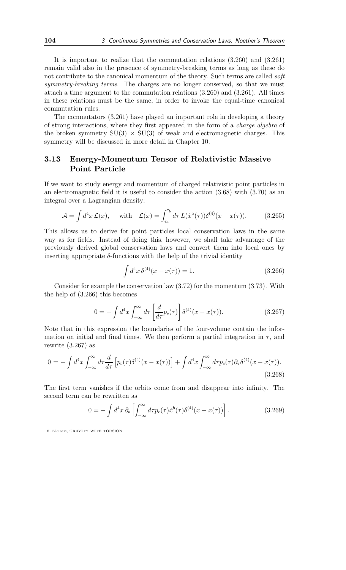It is important to realize that the commutation relations (3.260) and (3.261) remain valid also in the presence of symmetry-breaking terms as long as these do not contribute to the canonical momentum of the theory. Such terms are called *soft* symmetry-breaking terms. The charges are no longer conserved, so that we must attach a time argument to the commutation relations (3.260) and (3.261). All times in these relations must be the same, in order to invoke the equal-time canonical commutation rules.

The commutators (3.261) have played an important role in developing a theory of strong interactions, where they first appeared in the form of a charge algebra of the broken symmetry  $SU(3) \times SU(3)$  of weak and electromagnetic charges. This symmetry will be discussed in more detail in Chapter 10.

## 3.13 Energy-Momentum Tensor of Relativistic Massive Point Particle

If we want to study energy and momentum of charged relativistic point particles in an electromagnetic field it is useful to consider the action (3.68) with (3.70) as an integral over a Lagrangian density:

$$
\mathcal{A} = \int d^4x \mathcal{L}(x), \quad \text{with} \quad \mathcal{L}(x) = \int_{\tau_a}^{\tau_b} d\tau \, L(\dot{x}^a(\tau)) \delta^{(4)}(x - x(\tau)). \tag{3.265}
$$

This allows us to derive for point particles local conservation laws in the same way as for fields. Instead of doing this, however, we shall take advantage of the previously derived global conservation laws and convert them into local ones by inserting appropriate  $\delta$ -functions with the help of the trivial identity

$$
\int d^4x \,\delta^{(4)}(x - x(\tau)) = 1. \tag{3.266}
$$

Consider for example the conservation law (3.72) for the momentum (3.73). With the help of (3.266) this becomes

$$
0 = -\int d^4x \int_{-\infty}^{\infty} d\tau \left[ \frac{d}{d\tau} p_c(\tau) \right] \delta^{(4)}(x - x(\tau)). \tag{3.267}
$$

Note that in this expression the boundaries of the four-volume contain the information on initial and final times. We then perform a partial integration in  $\tau$ , and rewrite  $(3.267)$  as

$$
0 = -\int d^4x \int_{-\infty}^{\infty} d\tau \frac{d}{d\tau} \left[ p_c(\tau) \delta^{(4)}(x - x(\tau)) \right] + \int d^4x \int_{-\infty}^{\infty} d\tau p_c(\tau) \partial_{\tau} \delta^{(4)}(x - x(\tau)).
$$
\n(3.268)

The first term vanishes if the orbits come from and disappear into infinity. The second term can be rewritten as

$$
0 = -\int d^4x \,\partial_b \left[ \int_{-\infty}^{\infty} d\tau p_c(\tau) \dot{x}^b(\tau) \delta^{(4)}(x - x(\tau)) \right]. \tag{3.269}
$$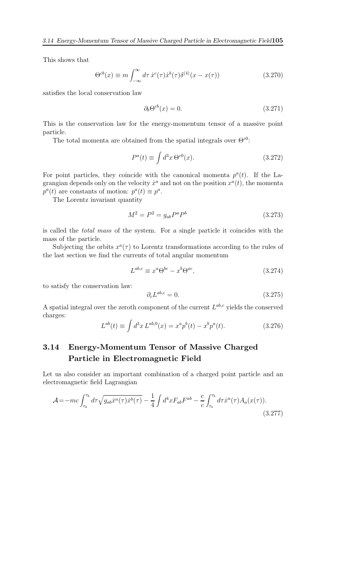This shows that

$$
\Theta^{cb}(x) \equiv m \int_{-\infty}^{\infty} d\tau \, \dot{x}^c(\tau) \dot{x}^b(\tau) \delta^{(4)}(x - x(\tau)) \tag{3.270}
$$

satisfies the local conservation law

$$
\partial_b \Theta^{cb}(x) = 0. \tag{3.271}
$$

This is the conservation law for the energy-momentum tensor of a massive point particle.

The total momenta are obtained from the spatial integrals over  $\Theta^{\text{c0}}$ :

$$
P^{a}(t) \equiv \int d^{3}x \,\Theta^{c0}(x). \tag{3.272}
$$

For point particles, they coincide with the canonical momenta  $p^a(t)$ . If the Lagrangian depends only on the velocity  $\dot{x}^a$  and not on the position  $x^a(t)$ , the momenta  $p^{a}(t)$  are constants of motion:  $p^{a}(t) \equiv p^{a}$ .

The Lorentz invariant quantity

$$
M^2 = P^2 = g_{ab} P^a P^b \tag{3.273}
$$

is called the total mass of the system. For a single particle it coincides with the mass of the particle.

Subjecting the orbits  $x^a(\tau)$  to Lorentz transformations according to the rules of the last section we find the currents of total angular momentum

$$
L^{ab,c} \equiv x^a \Theta^{bc} - x^b \Theta^{ac},\tag{3.274}
$$

to satisfy the conservation law:

$$
\partial_c L^{ab,c} = 0. \tag{3.275}
$$

A spatial integral over the zeroth component of the current  $L^{ab,c}$  yields the conserved charges:

$$
L^{ab}(t) \equiv \int d^3x \, L^{ab,0}(x) = x^a p^b(t) - x^b p^a(t). \tag{3.276}
$$

# 3.14 Energy-Momentum Tensor of Massive Charged Particle in Electromagnetic Field

Let us also consider an important combination of a charged point particle and an electromagnetic field Lagrangian

$$
\mathcal{A} = -mc \int_{\tau_a}^{\tau_b} d\tau \sqrt{g_{ab}\dot{x}^a(\tau)\dot{x}^b(\tau)} - \frac{1}{4} \int d^4x F_{ab} F^{ab} - \frac{e}{c} \int_{\tau_a}^{\tau_b} d\tau \dot{x}^a(\tau) A_a(x(\tau)).
$$
\n(3.277)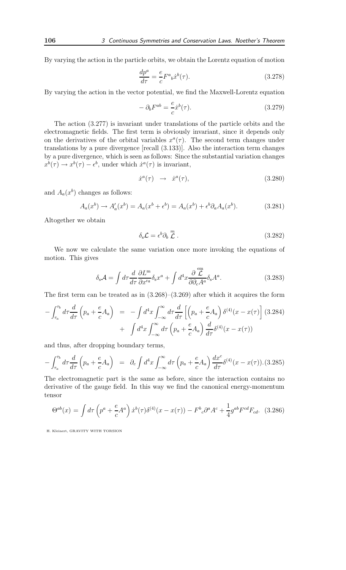By varying the action in the particle orbits, we obtain the Lorentz equation of motion

$$
\frac{dp^a}{d\tau} = \frac{e}{c} F^a{}_b \dot{x}^b(\tau). \tag{3.278}
$$

By varying the action in the vector potential, we find the Maxwell-Lorentz equation

$$
-\partial_b F^{ab} = \frac{e}{c} \dot{x}^b(\tau). \tag{3.279}
$$

The action (3.277) is invariant under translations of the particle orbits and the electromagnetic fields. The first term is obviously invariant, since it depends only on the derivatives of the orbital variables  $x^a(\tau)$ . The second term changes under translations by a pure divergence [recall (3.133)]. Also the interaction term changes by a pure divergence, which is seen as follows: Since the substantial variation changes  $x^{b}(\tau) \rightarrow x^{b}(\tau) - \epsilon^{b}$ , under which  $\dot{x}^{a}(\tau)$  is invariant,

$$
\dot{x}^a(\tau) \rightarrow \dot{x}^a(\tau), \qquad (3.280)
$$

and  $A_a(x^b)$  changes as follows:

$$
A_a(x^b) \to A'_a(x^b) = A_a(x^b + \epsilon^b) = A_a(x^b) + \epsilon^b \partial_a A_a(x^b).
$$
 (3.281)

Altogether we obtain

$$
\delta_{\rm s}\mathcal{L} = \epsilon^b \partial_b \stackrel{m}{\mathcal{L}} \,. \tag{3.282}
$$

We now we calculate the same variation once more invoking the equations of motion. This gives

$$
\delta_{\rm s} \mathcal{A} = \int d\tau \frac{d}{d\tau} \frac{\partial L^{\rm m}}{\partial x'^a} \delta_{\rm s} x^a + \int d^4 x \frac{\partial \stackrel{\rm em}{\mathcal{L}}}{\partial \partial_c A^a} \delta_{\rm s} A^a. \tag{3.283}
$$

The first term can be treated as in (3.268)–(3.269) after which it acquires the form

$$
-\int_{\tau_a}^{\tau_b} d\tau \frac{d}{d\tau} \left(p_a + \frac{e}{c} A_a\right) = -\int d^4x \int_{-\infty}^{\infty} d\tau \frac{d}{d\tau} \left[\left(p_a + \frac{e}{c} A_a\right) \delta^{(4)}(x - x(\tau))\right] (3.284)
$$

$$
+ \int d^4x \int_{-\infty}^{\infty} d\tau \left(p_a + \frac{e}{c} A_a\right) \frac{d}{d\tau} \delta^{(4)}(x - x(\tau))
$$

and thus, after dropping boundary terms,

$$
-\int_{\tau_a}^{\tau_b} d\tau \frac{d}{d\tau} \left(p_a + \frac{e}{c} A_a\right) = \partial_c \int d^4x \int_{-\infty}^{\infty} d\tau \left(p_a + \frac{e}{c} A_a\right) \frac{dx^c}{d\tau} \delta^{(4)}(x - x(\tau)) . (3.285)
$$

The electromagnetic part is the same as before, since the interaction contains no derivative of the gauge field. In this way we find the canonical energy-momentum tensor

$$
\Theta^{ab}(x) = \int d\tau \left( p^a + \frac{e}{c} A^a \right) \dot{x}^b(\tau) \delta^{(4)}(x - x(\tau)) - F^b{}_c \partial^a A^c + \frac{1}{4} g^{ab} F^{cd} F_{cd}.
$$
 (3.286)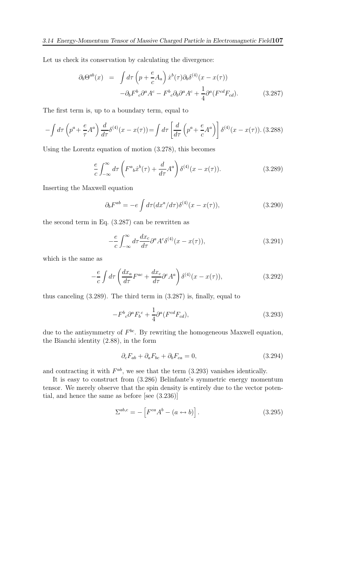Let us check its conservation by calculating the divergence:

$$
\partial_b \Theta^{ab}(x) = \int d\tau \left( p + \frac{e}{c} A_a \right) \dot{x}^b(\tau) \partial_b \delta^{(4)}(x - x(\tau))
$$

$$
- \partial_b F^b{}_c \partial^a A^c - F^b{}_c \partial_b \partial^a A^c + \frac{1}{4} \partial^a (F^{cd} F_{cd}). \tag{3.287}
$$

The first term is, up to a boundary term, equal to

$$
-\int d\tau \left(p^a + \frac{e}{\tau}A^a\right) \frac{d}{d\tau} \delta^{(4)}(x - x(\tau)) = \int d\tau \left[\frac{d}{d\tau} \left(p^a + \frac{e}{c}A^a\right)\right] \delta^{(4)}(x - x(\tau)).
$$
 (3.288)

Using the Lorentz equation of motion (3.278), this becomes

$$
\frac{e}{c} \int_{-\infty}^{\infty} d\tau \left( F^a{}_b \dot{x}^b(\tau) + \frac{d}{d\tau} A^a \right) \delta^{(4)}(x - x(\tau)). \tag{3.289}
$$

Inserting the Maxwell equation

$$
\partial_b F^{ab} = -e \int d\tau (dx^a / d\tau) \delta^{(4)}(x - x(\tau)), \qquad (3.290)
$$

the second term in Eq. (3.287) can be rewritten as

$$
-\frac{e}{c} \int_{-\infty}^{\infty} d\tau \frac{dx_c}{d\tau} \partial^a A^c \delta^{(4)}(x - x(\tau)), \tag{3.291}
$$

which is the same as

$$
-\frac{e}{c} \int d\tau \left( \frac{dx_a}{d\tau} F^{ac} + \frac{dx_c}{d\tau} \partial^c A^a \right) \delta^{(4)}(x - x(\tau)), \tag{3.292}
$$

thus canceling (3.289). The third term in (3.287) is, finally, equal to

$$
-F^b{}_c \partial^a F_b{}^c + \frac{1}{4} \partial^a (F^{cd} F_{cd}), \qquad (3.293)
$$

due to the antisymmetry of  $F^{bc}$ . By rewriting the homogeneous Maxwell equation, the Bianchi identity (2.88), in the form

$$
\partial_c F_{ab} + \partial_a F_{bc} + \partial_b F_{ca} = 0,\tag{3.294}
$$

and contracting it with  $F^{ab}$ , we see that the term  $(3.293)$  vanishes identically.

It is easy to construct from (3.286) Belinfante's symmetric energy momentum tensor. We merely observe that the spin density is entirely due to the vector potential, and hence the same as before [see (3.236)]

$$
\Sigma^{ab,c} = -\left[F^{ca}A^b - (a \leftrightarrow b)\right].\tag{3.295}
$$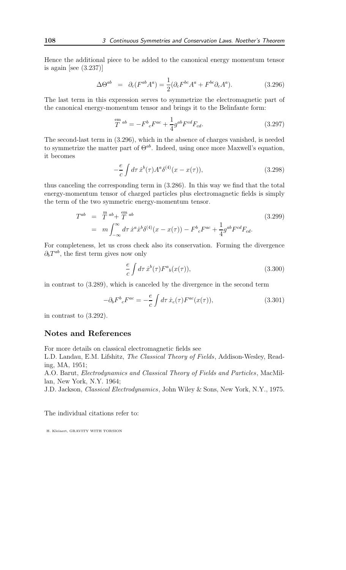Hence the additional piece to be added to the canonical energy momentum tensor is again [see (3.237)]

$$
\Delta\Theta^{ab} = \partial_c(F^{ab}A^a) = \frac{1}{2}(\partial_cF^{bc}A^a + F^{bc}\partial_cA^a). \tag{3.296}
$$

The last term in this expression serves to symmetrize the electromagnetic part of the canonical energy-momentum tensor and brings it to the Belinfante form:

$$
T^{ab} = -F^{b}{}_{c}F^{ac} + \frac{1}{4}g^{ab}F^{cd}F_{cd}.
$$
\n(3.297)

The second-last term in (3.296), which in the absence of charges vanished, is needed to symmetrize the matter part of  $\Theta^{ab}$ . Indeed, using once more Maxwell's equation, it becomes

$$
-\frac{e}{c}\int d\tau \,\dot{x}^{b}(\tau)A^{a}\delta^{(4)}(x-x(\tau)),\tag{3.298}
$$

thus canceling the corresponding term in (3.286). In this way we find that the total energy-momentum tensor of charged particles plus electromagnetic fields is simply the term of the two symmetric energy-momentum tensor.

$$
T^{ab} = \frac{m}{T}^{ab} + \frac{em}{T}^{ab}
$$
  
=  $m \int_{-\infty}^{\infty} d\tau \dot{x}^a \dot{x}^b \delta^{(4)}(x - x(\tau)) - F^b{}_c F^{ac} + \frac{1}{4} g^{ab} F^{cd} F_{cd}.$  (3.299)

For completeness, let us cross check also its conservation. Forming the divergence  $\partial_b T^{ab}$ , the first term gives now only

$$
\frac{e}{c} \int d\tau \, \dot{x}^b(\tau) F^a{}_b(x(\tau)),\tag{3.300}
$$

in contrast to (3.289), which is canceled by the divergence in the second term

$$
-\partial_b F^b{}_c F^{ac} = -\frac{e}{c} \int d\tau \, \dot{x}_c(\tau) F^{ac}(x(\tau)),\tag{3.301}
$$

in contrast to (3.292).

## Notes and References

For more details on classical electromagnetic fields see

L.D. Landau, E.M. Lifshitz, The Classical Theory of Fields, Addison-Wesley, Reading, MA, 1951;

A.O. Barut, Electrodynamics and Classical Theory of Fields and Particles, MacMillan, New York, N.Y. 1964;

J.D. Jackson, Classical Electrodynamics, John Wiley & Sons, New York, N.Y., 1975.

The individual citations refer to: